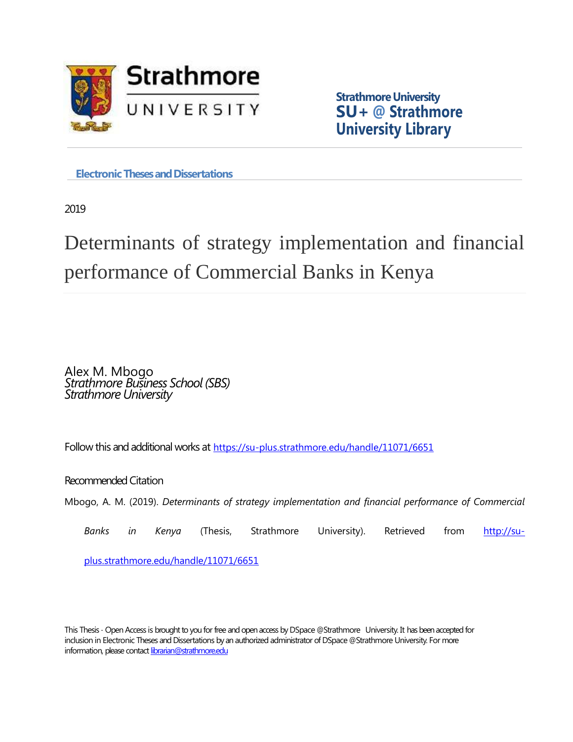

**Strathmore University SU+ @ Strathmore University Library**

**Electronic Theses and Dissertations** 

2019

# Determinants of strategy implementation and financial performance of Commercial Banks in Kenya

Alex M. Mbogo *Strathmore Business School (SBS) Strathmore University*

Follow this and additional works at <https://su-plus.strathmore.edu/handle/11071/6651>

Recommended Citation

Mbogo, A. M. (2019). *Determinants of strategy implementation and financial performance of Commercial* 

*Banks in Kenya* (Thesis, Strathmore University). Retrieved from [http://su-](http://su-plus.strathmore.edu/handle/11071/6651)

[plus.strathmore.edu/handle/11071/6651](http://su-plus.strathmore.edu/handle/11071/6651)

This Thesis - Open Access is brought to you for free and open access by DSpace @Strathmore University. It has been accepted for inclusion in Electronic Theses and Dissertations by an authorized administrator of DSpace @Strathmore University. For more information, please contact librarian@strathmore.edu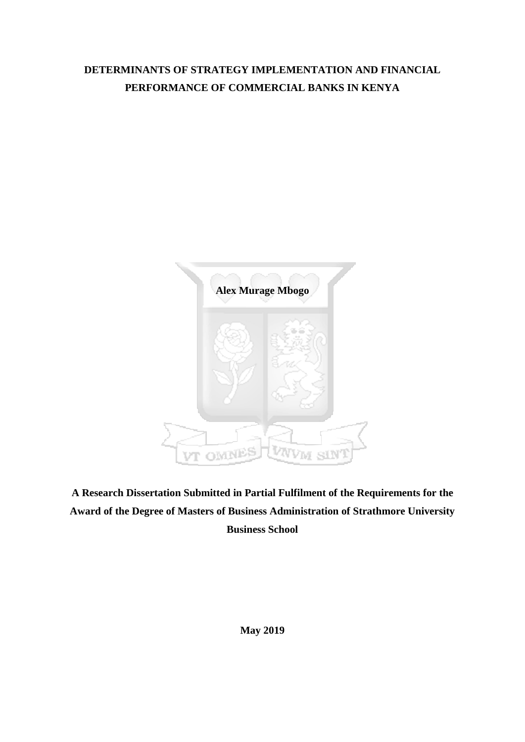# **DETERMINANTS OF STRATEGY IMPLEMENTATION AND FINANCIAL PERFORMANCE OF COMMERCIAL BANKS IN KENYA**



**A Research Dissertation Submitted in Partial Fulfilment of the Requirements for the Award of the Degree of Masters of Business Administration of Strathmore University Business School**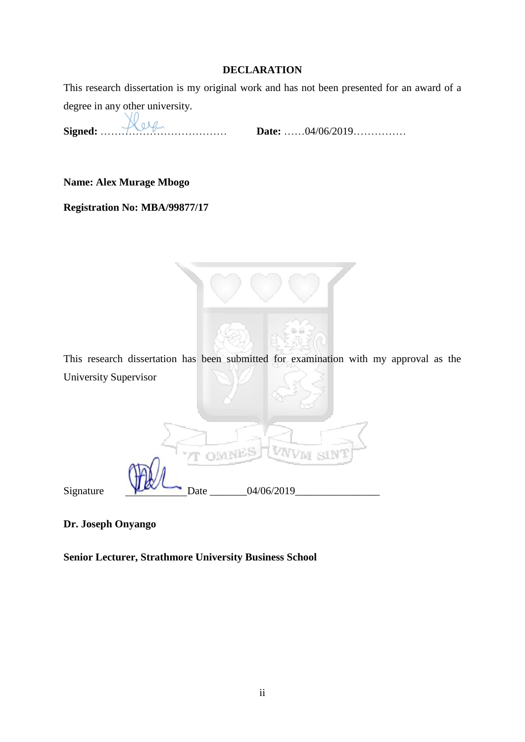# **DECLARATION**

<span id="page-2-0"></span>This research dissertation is my original work and has not been presented for an award of a degree in any other university.

**Signed:** ……………………………… **Date:** ……04/06/2019……………

**Name: Alex Murage Mbogo** 

**Registration No: MBA/99877/17** 



**OMNI** 

Signature  $\bigvee$  Date  $04/06/2019$ 

**Dr. Joseph Onyango** 

**Senior Lecturer, Strathmore University Business School**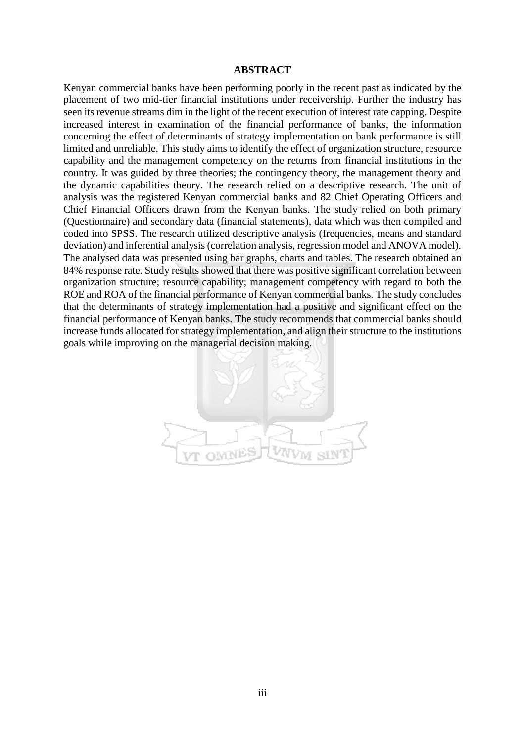#### **ABSTRACT**

<span id="page-3-0"></span>Kenyan commercial banks have been performing poorly in the recent past as indicated by the placement of two mid-tier financial institutions under receivership. Further the industry has seen its revenue streams dim in the light of the recent execution of interest rate capping. Despite increased interest in examination of the financial performance of banks, the information concerning the effect of determinants of strategy implementation on bank performance is still limited and unreliable. This study aims to identify the effect of organization structure, resource capability and the management competency on the returns from financial institutions in the country. It was guided by three theories; the contingency theory, the management theory and the dynamic capabilities theory. The research relied on a descriptive research. The unit of analysis was the registered Kenyan commercial banks and 82 Chief Operating Officers and Chief Financial Officers drawn from the Kenyan banks. The study relied on both primary (Questionnaire) and secondary data (financial statements), data which was then compiled and coded into SPSS. The research utilized descriptive analysis (frequencies, means and standard deviation) and inferential analysis (correlation analysis, regression model and ANOVA model). The analysed data was presented using bar graphs, charts and tables. The research obtained an 84% response rate. Study results showed that there was positive significant correlation between organization structure; resource capability; management competency with regard to both the ROE and ROA of the financial performance of Kenyan commercial banks. The study concludes that the determinants of strategy implementation had a positive and significant effect on the financial performance of Kenyan banks. The study recommends that commercial banks should increase funds allocated for strategy implementation, and align their structure to the institutions goals while improving on the managerial decision making.

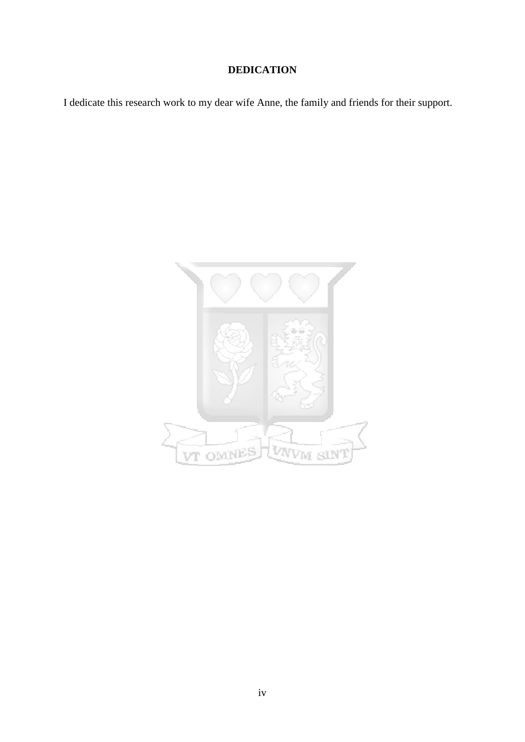# **DEDICATION**

<span id="page-4-0"></span>I dedicate this research work to my dear wife Anne, the family and friends for their support.

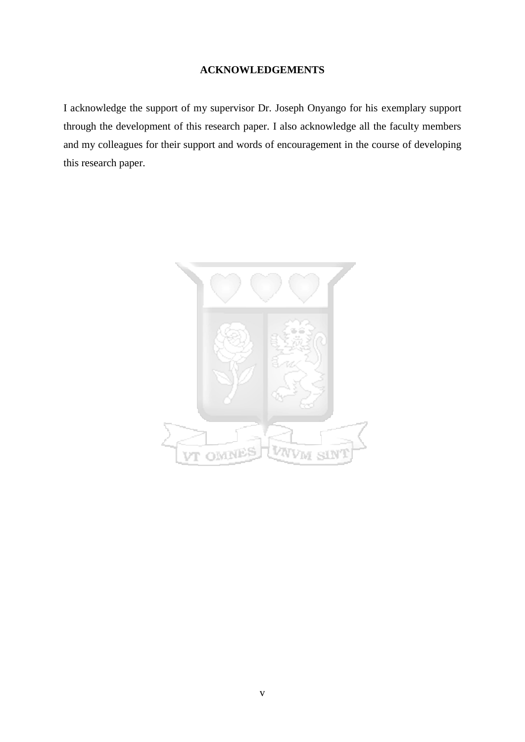# **ACKNOWLEDGEMENTS**

<span id="page-5-0"></span>I acknowledge the support of my supervisor Dr. Joseph Onyango for his exemplary support through the development of this research paper. I also acknowledge all the faculty members and my colleagues for their support and words of encouragement in the course of developing this research paper.

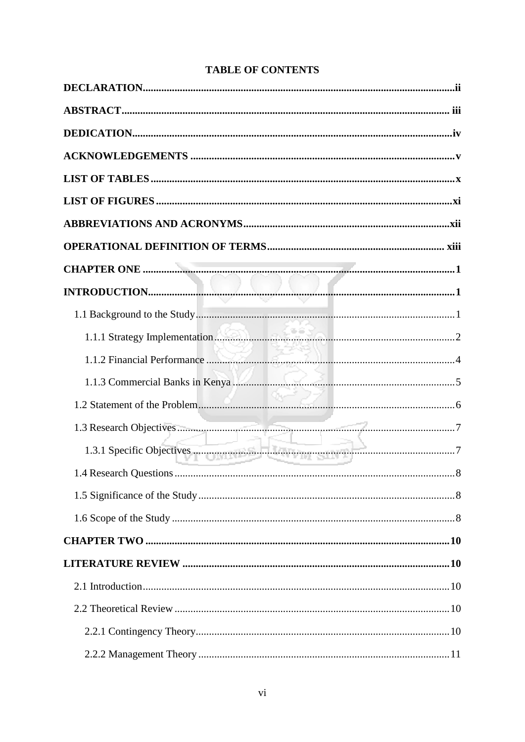| 1.1.3 Commercial Banks in Kenya Manusukan menjadi banyak sejara di S |  |
|----------------------------------------------------------------------|--|
|                                                                      |  |
|                                                                      |  |
| 1.3.1 Specific Objectives                                            |  |
|                                                                      |  |
|                                                                      |  |
|                                                                      |  |
|                                                                      |  |
|                                                                      |  |
|                                                                      |  |
|                                                                      |  |
|                                                                      |  |
|                                                                      |  |

# **TABLE OF CONTENTS**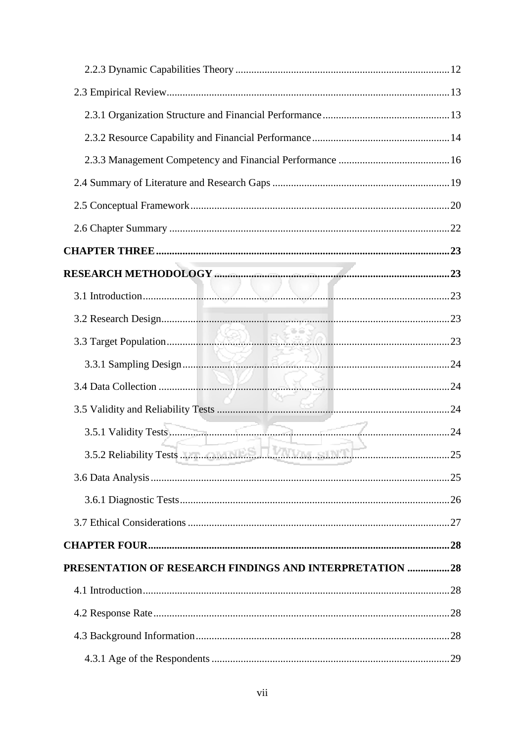| PRESENTATION OF RESEARCH FINDINGS AND INTERPRETATION 28 |  |
|---------------------------------------------------------|--|
|                                                         |  |
|                                                         |  |
|                                                         |  |
|                                                         |  |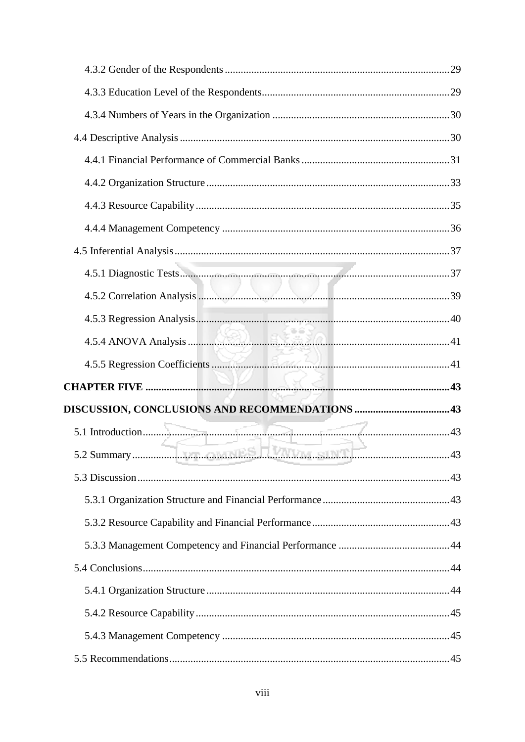| 4.5.2 Correlation Analysis <b>Executive Correlation</b> Analysis <b>Correlation</b> Analysis <b>Correlation</b> Analysis <b>Correlation</b> |  |
|---------------------------------------------------------------------------------------------------------------------------------------------|--|
|                                                                                                                                             |  |
|                                                                                                                                             |  |
|                                                                                                                                             |  |
|                                                                                                                                             |  |
|                                                                                                                                             |  |
|                                                                                                                                             |  |
|                                                                                                                                             |  |
|                                                                                                                                             |  |
|                                                                                                                                             |  |
|                                                                                                                                             |  |
|                                                                                                                                             |  |
|                                                                                                                                             |  |
|                                                                                                                                             |  |
|                                                                                                                                             |  |
|                                                                                                                                             |  |
|                                                                                                                                             |  |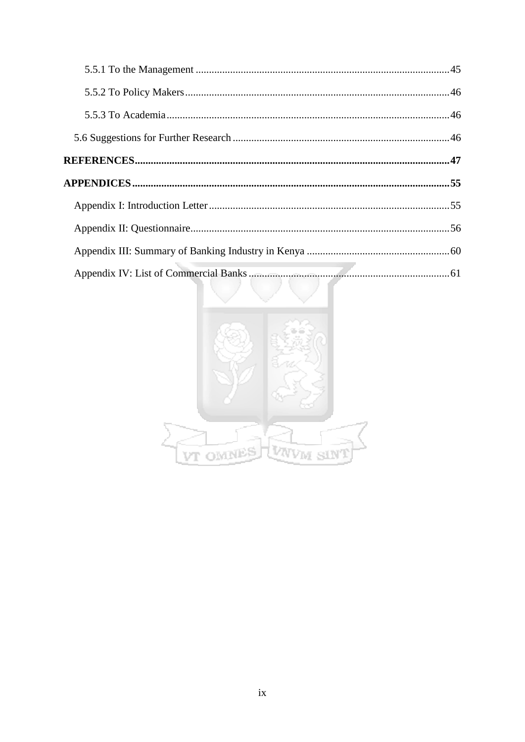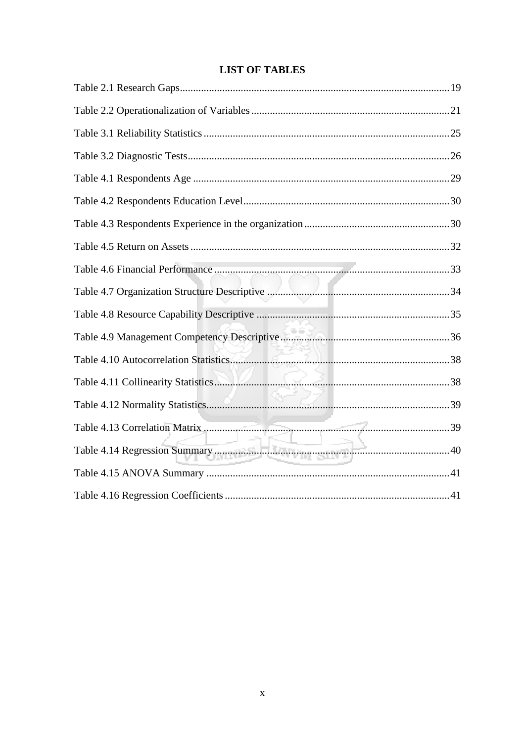<span id="page-10-0"></span>

| Table 4.14 Regression Summary <b>Contract of the Contract of Summary</b> |  |
|--------------------------------------------------------------------------|--|
|                                                                          |  |
|                                                                          |  |

# **LIST OF TABLES**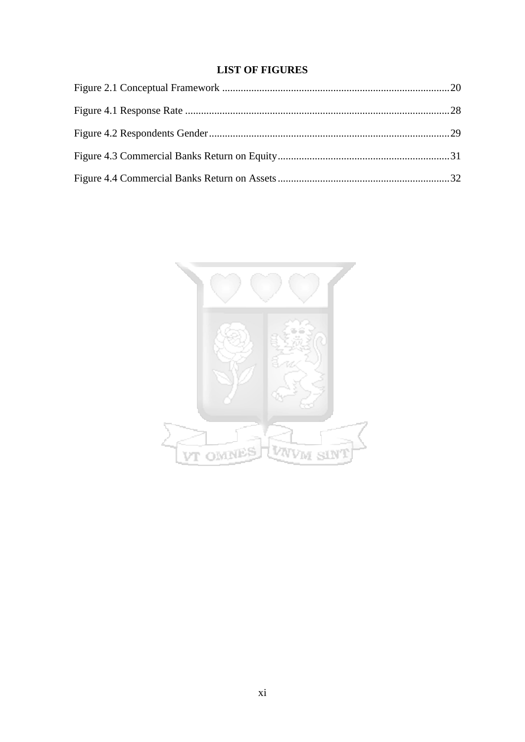# **LIST OF FIGURES**

<span id="page-11-0"></span>

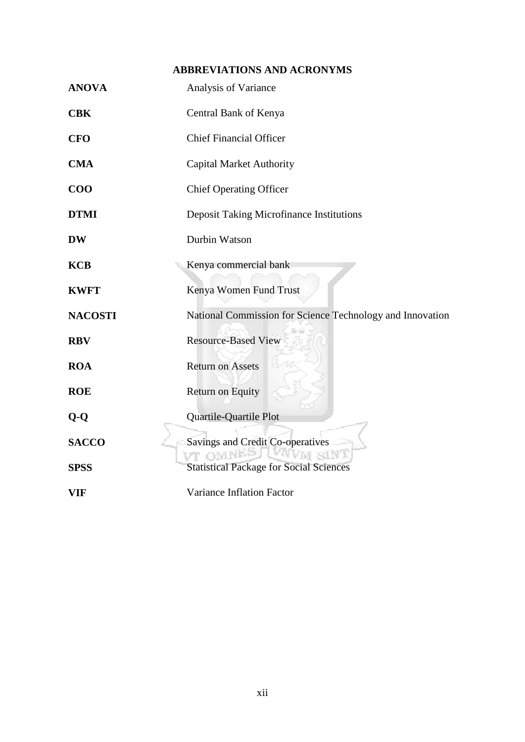# **ABBREVIATIONS AND ACRONYMS**

<span id="page-12-0"></span>

| <b>ANOVA</b>   | Analysis of Variance                                                    |
|----------------|-------------------------------------------------------------------------|
| <b>CBK</b>     | Central Bank of Kenya                                                   |
| <b>CFO</b>     | <b>Chief Financial Officer</b>                                          |
| <b>CMA</b>     | <b>Capital Market Authority</b>                                         |
| $\bf{COO}$     | <b>Chief Operating Officer</b>                                          |
| <b>DTMI</b>    | <b>Deposit Taking Microfinance Institutions</b>                         |
| <b>DW</b>      | Durbin Watson                                                           |
| <b>KCB</b>     | Kenya commercial bank                                                   |
| <b>KWFT</b>    | Kenya Women Fund Trust                                                  |
| <b>NACOSTI</b> | National Commission for Science Technology and Innovation               |
| <b>RBV</b>     | <b>Resource-Based View</b>                                              |
| <b>ROA</b>     | <b>Return on Assets</b>                                                 |
| <b>ROE</b>     | Return on Equity                                                        |
| $Q-Q$          | Quartile-Quartile Plot                                                  |
| <b>SACCO</b>   | Savings and Credit Co-operatives                                        |
| <b>SPSS</b>    | <b>OMN</b><br># siN'i<br><b>Statistical Package for Social Sciences</b> |
| <b>VIF</b>     | Variance Inflation Factor                                               |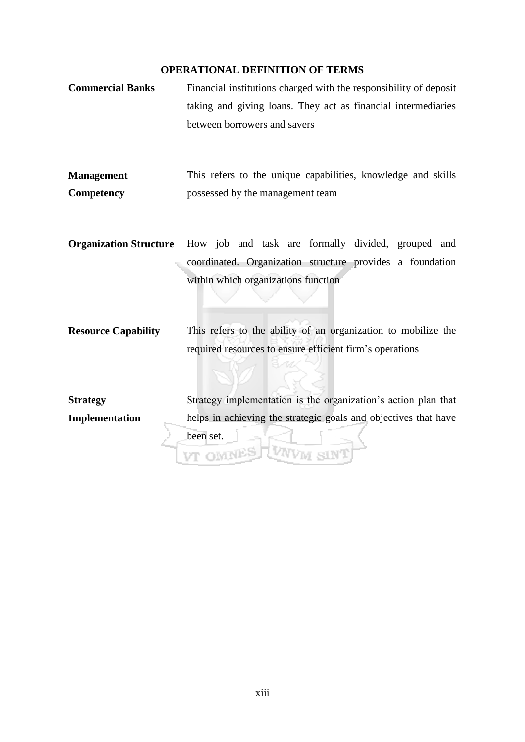### **OPERATIONAL DEFINITION OF TERMS**

- <span id="page-13-0"></span>**Commercial Banks** Financial institutions charged with the responsibility of deposit taking and giving loans. They act as financial intermediaries between borrowers and savers
- **Management Competency** This refers to the unique capabilities, knowledge and skills possessed by the management team
- **Organization Structure** How job and task are formally divided, grouped and coordinated. Organization structure provides a foundation within which organizations function

**Resource Capability** This refers to the ability of an organization to mobilize the required resources to ensure efficient firm's operations

Strategy implementation is the organization's action plan that **Strategy Implementation** helps in achieving the strategic goals and objectives that have been set.VWW SIN VT OMNES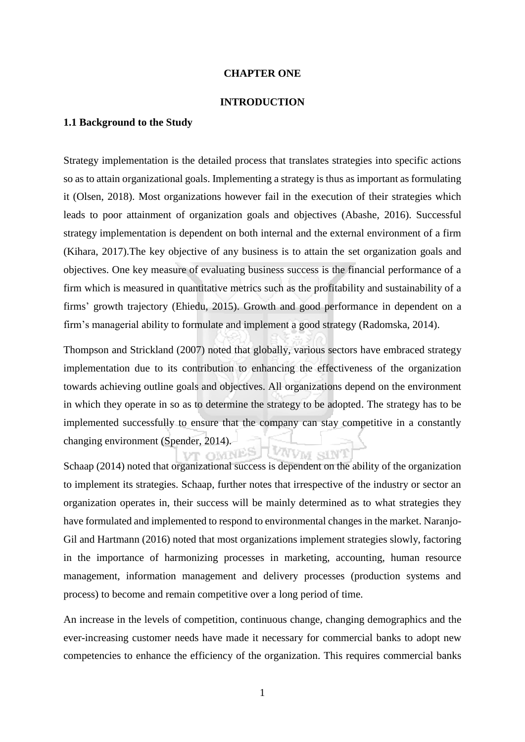#### **CHAPTER ONE**

#### **INTRODUCTION**

# <span id="page-14-2"></span><span id="page-14-1"></span><span id="page-14-0"></span>**1.1 Background to the Study**

Strategy implementation is the detailed process that translates strategies into specific actions so as to attain organizational goals. Implementing a strategy is thus as important as formulating it (Olsen, 2018). Most organizations however fail in the execution of their strategies which leads to poor attainment of organization goals and objectives (Abashe, 2016). Successful strategy implementation is dependent on both internal and the external environment of a firm (Kihara, 2017).The key objective of any business is to attain the set organization goals and objectives. One key measure of evaluating business success is the financial performance of a firm which is measured in quantitative metrics such as the profitability and sustainability of a firms' growth trajectory (Ehiedu, 2015). Growth and good performance in dependent on a firm's managerial ability to formulate and implement a good strategy (Radomska, 2014).

Thompson and Strickland (2007) noted that globally, various sectors have embraced strategy implementation due to its contribution to enhancing the effectiveness of the organization towards achieving outline goals and objectives. All organizations depend on the environment in which they operate in so as to determine the strategy to be adopted. The strategy has to be implemented successfully to ensure that the company can stay competitive in a constantly changing environment (Spender, 2014). VNVM SINT ™ OMNÉS

Schaap (2014) noted that organizational success is dependent on the ability of the organization to implement its strategies. Schaap, further notes that irrespective of the industry or sector an organization operates in, their success will be mainly determined as to what strategies they have formulated and implemented to respond to environmental changes in the market. Naranjo-Gil and Hartmann (2016) noted that most organizations implement strategies slowly, factoring in the importance of harmonizing processes in marketing, accounting, human resource management, information management and delivery processes (production systems and process) to become and remain competitive over a long period of time.

An increase in the levels of competition, continuous change, changing demographics and the ever-increasing customer needs have made it necessary for commercial banks to adopt new competencies to enhance the efficiency of the organization. This requires commercial banks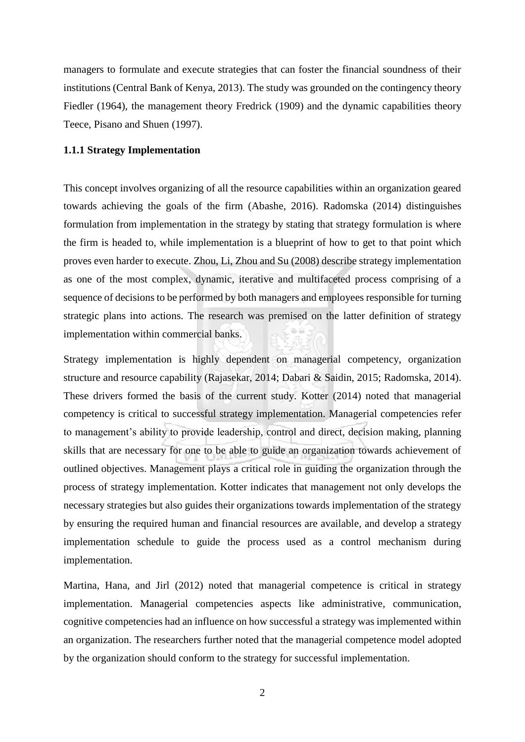managers to formulate and execute strategies that can foster the financial soundness of their institutions (Central Bank of Kenya, 2013). The study was grounded on the contingency theory Fiedler (1964), the management theory Fredrick (1909) and the dynamic capabilities theory Teece, Pisano and Shuen (1997).

# <span id="page-15-0"></span>**1.1.1 Strategy Implementation**

This concept involves organizing of all the resource capabilities within an organization geared towards achieving the goals of the firm (Abashe, 2016). Radomska (2014) distinguishes formulation from implementation in the strategy by stating that strategy formulation is where the firm is headed to, while implementation is a blueprint of how to get to that point which proves even harder to execute. Zhou, Li, Zhou and Su (2008) describe strategy implementation as one of the most complex, dynamic, iterative and multifaceted process comprising of a sequence of decisions to be performed by both managers and employees responsible for turning strategic plans into actions. The research was premised on the latter definition of strategy implementation within commercial banks.

Strategy implementation is highly dependent on managerial competency, organization structure and resource capability (Rajasekar, 2014; Dabari & Saidin, 2015; Radomska, 2014). These drivers formed the basis of the current study. Kotter (2014) noted that managerial competency is critical to successful strategy implementation. Managerial competencies refer to management's ability to provide leadership, control and direct, decision making, planning skills that are necessary for one to be able to guide an organization towards achievement of outlined objectives. Management plays a critical role in guiding the organization through the process of strategy implementation. Kotter indicates that management not only develops the necessary strategies but also guides their organizations towards implementation of the strategy by ensuring the required human and financial resources are available, and develop a strategy implementation schedule to guide the process used as a control mechanism during implementation.

Martina, Hana, and Jirl (2012) noted that managerial competence is critical in strategy implementation. Managerial competencies aspects like administrative, communication, cognitive competencies had an influence on how successful a strategy was implemented within an organization. The researchers further noted that the managerial competence model adopted by the organization should conform to the strategy for successful implementation.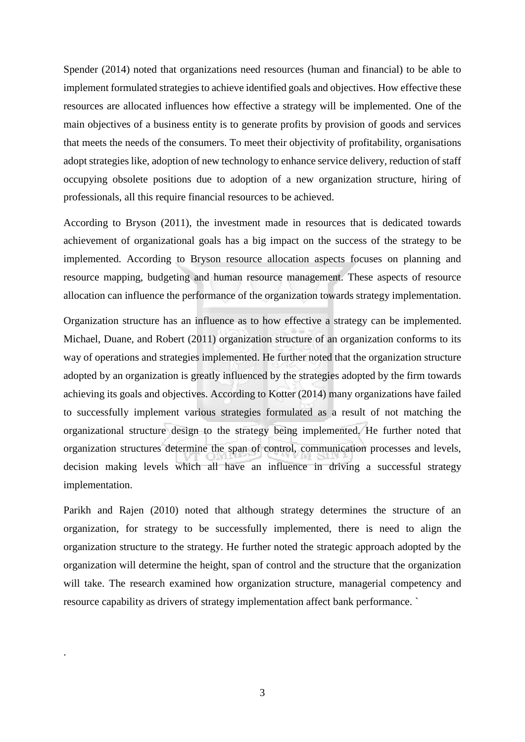Spender (2014) noted that organizations need resources (human and financial) to be able to implement formulated strategies to achieve identified goals and objectives. How effective these resources are allocated influences how effective a strategy will be implemented. One of the main objectives of a business entity is to generate profits by provision of goods and services that meets the needs of the consumers. To meet their objectivity of profitability, organisations adopt strategies like, adoption of new technology to enhance service delivery, reduction of staff occupying obsolete positions due to adoption of a new organization structure, hiring of professionals, all this require financial resources to be achieved.

According to Bryson (2011), the investment made in resources that is dedicated towards achievement of organizational goals has a big impact on the success of the strategy to be implemented. According to Bryson resource allocation aspects focuses on planning and resource mapping, budgeting and human resource management. These aspects of resource allocation can influence the performance of the organization towards strategy implementation.

Organization structure has an influence as to how effective a strategy can be implemented. Michael, Duane, and Robert (2011) organization structure of an organization conforms to its way of operations and strategies implemented. He further noted that the organization structure adopted by an organization is greatly influenced by the strategies adopted by the firm towards achieving its goals and objectives. According to Kotter (2014) many organizations have failed to successfully implement various strategies formulated as a result of not matching the organizational structure design to the strategy being implemented. He further noted that organization structures determine the span of control, communication processes and levels, decision making levels which all have an influence in driving a successful strategy implementation.

Parikh and Rajen (2010) noted that although strategy determines the structure of an organization, for strategy to be successfully implemented, there is need to align the organization structure to the strategy. He further noted the strategic approach adopted by the organization will determine the height, span of control and the structure that the organization will take. The research examined how organization structure, managerial competency and resource capability as drivers of strategy implementation affect bank performance. `

.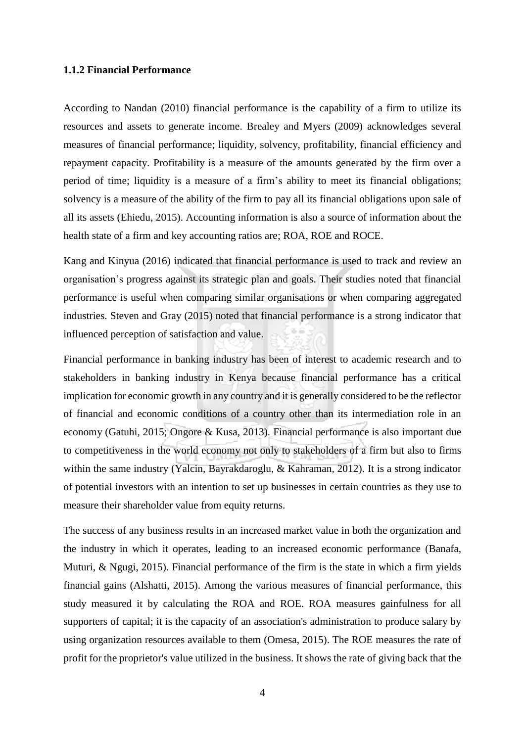#### <span id="page-17-0"></span>**1.1.2 Financial Performance**

According to Nandan (2010) financial performance is the capability of a firm to utilize its resources and assets to generate income. Brealey and Myers (2009) acknowledges several measures of financial performance; liquidity, solvency, profitability, financial efficiency and repayment capacity. Profitability is a measure of the amounts generated by the firm over a period of time; liquidity is a measure of a firm's ability to meet its financial obligations; solvency is a measure of the ability of the firm to pay all its financial obligations upon sale of all its assets (Ehiedu, 2015). Accounting information is also a source of information about the health state of a firm and key accounting ratios are; ROA, ROE and ROCE.

Kang and Kinyua (2016) indicated that financial performance is used to track and review an organisation's progress against its strategic plan and goals. Their studies noted that financial performance is useful when comparing similar organisations or when comparing aggregated industries. Steven and Gray (2015) noted that financial performance is a strong indicator that influenced perception of satisfaction and value.

Financial performance in banking industry has been of interest to academic research and to stakeholders in banking industry in Kenya because financial performance has a critical implication for economic growth in any country and it is generally considered to be the reflector of financial and economic conditions of a country other than its intermediation role in an economy (Gatuhi, 2015; Ongore & Kusa, 2013). Financial performance is also important due to competitiveness in the world economy not only to stakeholders of a firm but also to firms within the same industry (Yalcin, Bayrakdaroglu, & Kahraman, 2012). It is a strong indicator of potential investors with an intention to set up businesses in certain countries as they use to measure their shareholder value from equity returns.

The success of any business results in an increased market value in both the organization and the industry in which it operates, leading to an increased economic performance (Banafa, Muturi, & Ngugi, 2015). Financial performance of the firm is the state in which a firm yields financial gains (Alshatti, 2015). Among the various measures of financial performance, this study measured it by calculating the ROA and ROE. ROA measures gainfulness for all supporters of capital; it is the capacity of an association's administration to produce salary by using organization resources available to them (Omesa, 2015). The ROE measures the rate of profit for the proprietor's value utilized in the business. It shows the rate of giving back that the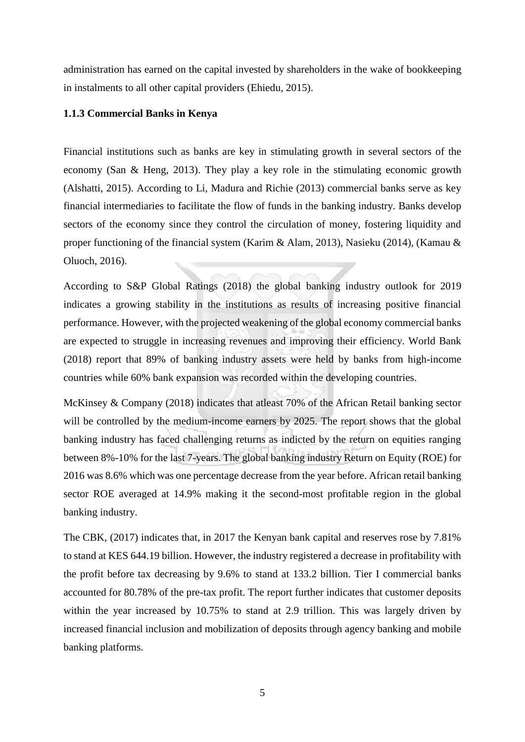administration has earned on the capital invested by shareholders in the wake of bookkeeping in instalments to all other capital providers (Ehiedu, 2015).

### <span id="page-18-0"></span>**1.1.3 Commercial Banks in Kenya**

Financial institutions such as banks are key in stimulating growth in several sectors of the economy (San & Heng, 2013). They play a key role in the stimulating economic growth (Alshatti, 2015). According to Li, Madura and Richie (2013) commercial banks serve as key financial intermediaries to facilitate the flow of funds in the banking industry. Banks develop sectors of the economy since they control the circulation of money, fostering liquidity and proper functioning of the financial system (Karim & Alam, 2013), Nasieku (2014), (Kamau & Oluoch, 2016).

According to S&P Global Ratings (2018) the global banking industry outlook for 2019 indicates a growing stability in the institutions as results of increasing positive financial performance. However, with the projected weakening of the global economy commercial banks are expected to struggle in increasing revenues and improving their efficiency. World Bank (2018) report that 89% of banking industry assets were held by banks from high-income countries while 60% bank expansion was recorded within the developing countries.

McKinsey & Company (2018) indicates that atleast 70% of the African Retail banking sector will be controlled by the medium-income earners by 2025. The report shows that the global banking industry has faced challenging returns as indicted by the return on equities ranging between 8%-10% for the last 7-years. The global banking industry Return on Equity (ROE) for 2016 was 8.6% which was one percentage decrease from the year before. African retail banking sector ROE averaged at 14.9% making it the second-most profitable region in the global banking industry.

The CBK, (2017) indicates that, in 2017 the Kenyan bank capital and reserves rose by 7.81% to stand at KES 644.19 billion. However, the industry registered a decrease in profitability with the profit before tax decreasing by 9.6% to stand at 133.2 billion. Tier I commercial banks accounted for 80.78% of the pre-tax profit. The report further indicates that customer deposits within the year increased by 10.75% to stand at 2.9 trillion. This was largely driven by increased financial inclusion and mobilization of deposits through agency banking and mobile banking platforms.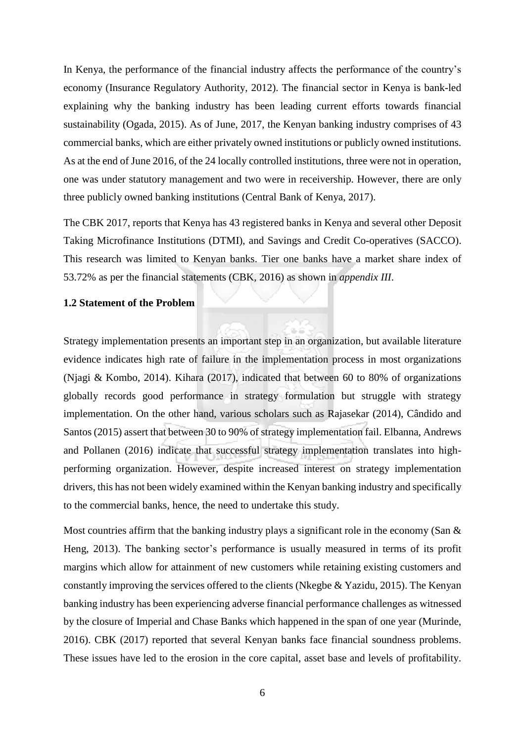In Kenya, the performance of the financial industry affects the performance of the country's economy (Insurance Regulatory Authority, 2012). The financial sector in Kenya is bank-led explaining why the banking industry has been leading current efforts towards financial sustainability (Ogada, 2015). As of June, 2017, the Kenyan banking industry comprises of 43 commercial banks, which are either privately owned institutions or publicly owned institutions. As at the end of June 2016, of the 24 locally controlled institutions, three were not in operation, one was under statutory management and two were in receivership. However, there are only three publicly owned banking institutions (Central Bank of Kenya, 2017).

The CBK 2017, reports that Kenya has 43 registered banks in Kenya and several other Deposit Taking Microfinance Institutions (DTMI), and Savings and Credit Co-operatives (SACCO). This research was limited to Kenyan banks. Tier one banks have a market share index of 53.72% as per the financial statements (CBK, 2016) as shown in *appendix III*.

#### <span id="page-19-0"></span>**1.2 Statement of the Problem**

Strategy implementation presents an important step in an organization, but available literature evidence indicates high rate of failure in the implementation process in most organizations (Njagi & Kombo, 2014). Kihara (2017), indicated that between 60 to 80% of organizations globally records good performance in strategy formulation but struggle with strategy implementation. On the other hand, various scholars such as Rajasekar (2014), Cândido and Santos (2015) assert that between 30 to 90% of strategy implementation fail. Elbanna, Andrews and Pollanen (2016) indicate that successful strategy implementation translates into highperforming organization. However, despite increased interest on strategy implementation drivers, this has not been widely examined within the Kenyan banking industry and specifically to the commercial banks, hence, the need to undertake this study.

Most countries affirm that the banking industry plays a significant role in the economy (San  $\&$ Heng, 2013). The banking sector's performance is usually measured in terms of its profit margins which allow for attainment of new customers while retaining existing customers and constantly improving the services offered to the clients (Nkegbe & Yazidu, 2015). The Kenyan banking industry has been experiencing adverse financial performance challenges as witnessed by the closure of Imperial and Chase Banks which happened in the span of one year (Murinde, 2016). CBK (2017) reported that several Kenyan banks face financial soundness problems. These issues have led to the erosion in the core capital, asset base and levels of profitability.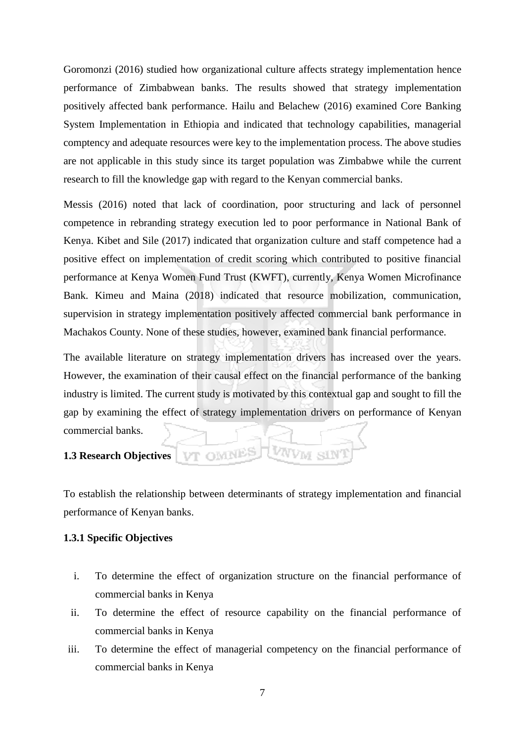Goromonzi (2016) studied how organizational culture affects strategy implementation hence performance of Zimbabwean banks. The results showed that strategy implementation positively affected bank performance. Hailu and Belachew (2016) examined Core Banking System Implementation in Ethiopia and indicated that technology capabilities, managerial comptency and adequate resources were key to the implementation process. The above studies are not applicable in this study since its target population was Zimbabwe while the current research to fill the knowledge gap with regard to the Kenyan commercial banks.

Messis (2016) noted that lack of coordination, poor structuring and lack of personnel competence in rebranding strategy execution led to poor performance in National Bank of Kenya. Kibet and Sile (2017) indicated that organization culture and staff competence had a positive effect on implementation of credit scoring which contributed to positive financial performance at Kenya Women Fund Trust (KWFT), currently, Kenya Women Microfinance Bank. Kimeu and Maina (2018) indicated that resource mobilization, communication, supervision in strategy implementation positively affected commercial bank performance in Machakos County. None of these studies, however, examined bank financial performance.

The available literature on strategy implementation drivers has increased over the years. However, the examination of their causal effect on the financial performance of the banking industry is limited. The current study is motivated by this contextual gap and sought to fill the gap by examining the effect of strategy implementation drivers on performance of Kenyan commercial banks.

#### <span id="page-20-0"></span>**1.3 Research Objectives**

To establish the relationship between determinants of strategy implementation and financial performance of Kenyan banks.

VT OMNES

VNVM

### <span id="page-20-1"></span>**1.3.1 Specific Objectives**

- i. To determine the effect of organization structure on the financial performance of commercial banks in Kenya
- ii. To determine the effect of resource capability on the financial performance of commercial banks in Kenya
- iii. To determine the effect of managerial competency on the financial performance of commercial banks in Kenya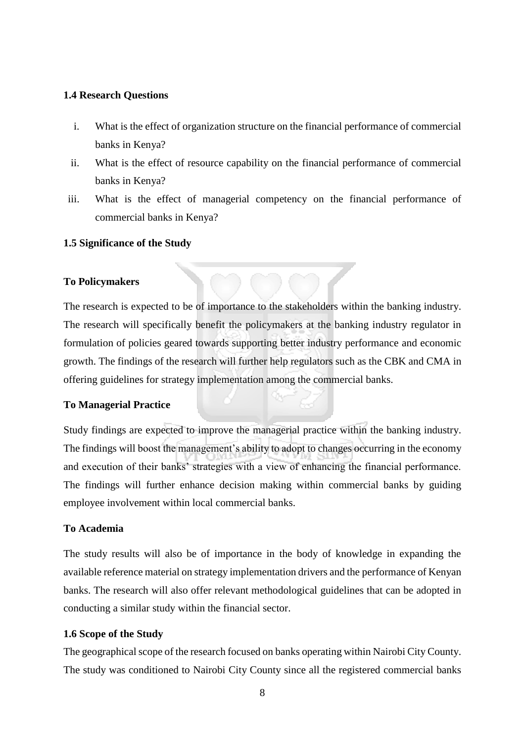# <span id="page-21-0"></span>**1.4 Research Questions**

- i. What is the effect of organization structure on the financial performance of commercial banks in Kenya?
- ii. What is the effect of resource capability on the financial performance of commercial banks in Kenya?
- iii. What is the effect of managerial competency on the financial performance of commercial banks in Kenya?

# <span id="page-21-1"></span>**1.5 Significance of the Study**

# **To Policymakers**

The research is expected to be of importance to the stakeholders within the banking industry. The research will specifically benefit the policymakers at the banking industry regulator in formulation of policies geared towards supporting better industry performance and economic growth. The findings of the research will further help regulators such as the CBK and CMA in offering guidelines for strategy implementation among the commercial banks.

# **To Managerial Practice**

Study findings are expected to improve the managerial practice within the banking industry. The findings will boost the management's ability to adopt to changes occurring in the economy and execution of their banks' strategies with a view of enhancing the financial performance. The findings will further enhance decision making within commercial banks by guiding employee involvement within local commercial banks.

# **To Academia**

The study results will also be of importance in the body of knowledge in expanding the available reference material on strategy implementation drivers and the performance of Kenyan banks. The research will also offer relevant methodological guidelines that can be adopted in conducting a similar study within the financial sector.

# <span id="page-21-2"></span>**1.6 Scope of the Study**

The geographical scope of the research focused on banks operating within Nairobi City County. The study was conditioned to Nairobi City County since all the registered commercial banks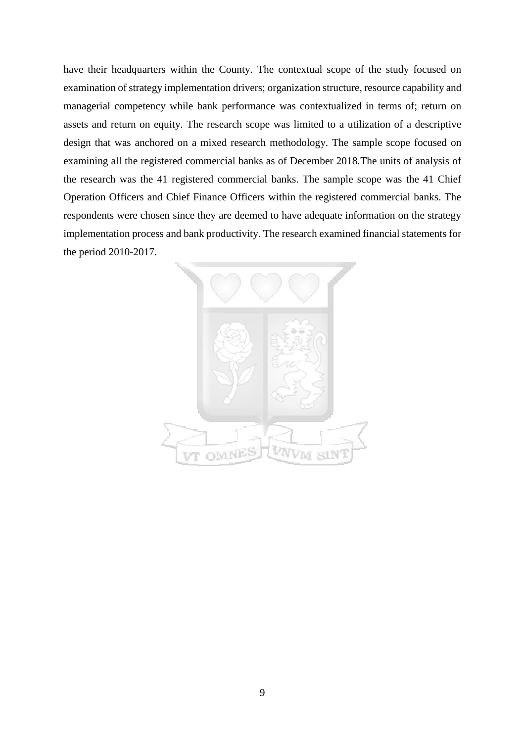have their headquarters within the County. The contextual scope of the study focused on examination of strategy implementation drivers; organization structure, resource capability and managerial competency while bank performance was contextualized in terms of; return on assets and return on equity. The research scope was limited to a utilization of a descriptive design that was anchored on a mixed research methodology. The sample scope focused on examining all the registered commercial banks as of December 2018.The units of analysis of the research was the 41 registered commercial banks. The sample scope was the 41 Chief Operation Officers and Chief Finance Officers within the registered commercial banks. The respondents were chosen since they are deemed to have adequate information on the strategy implementation process and bank productivity. The research examined financial statements for the period 2010-2017.

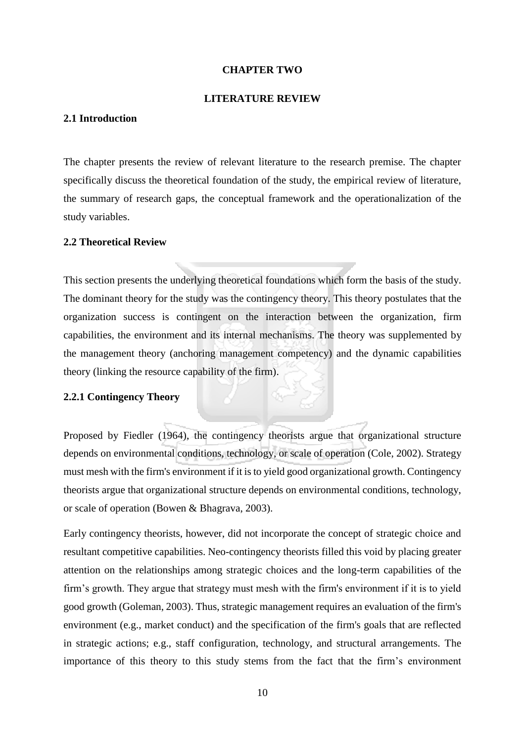#### **CHAPTER TWO**

### **LITERATURE REVIEW**

#### <span id="page-23-2"></span><span id="page-23-1"></span><span id="page-23-0"></span>**2.1 Introduction**

The chapter presents the review of relevant literature to the research premise. The chapter specifically discuss the theoretical foundation of the study, the empirical review of literature, the summary of research gaps, the conceptual framework and the operationalization of the study variables.

#### <span id="page-23-3"></span>**2.2 Theoretical Review**

This section presents the underlying theoretical foundations which form the basis of the study. The dominant theory for the study was the contingency theory. This theory postulates that the organization success is contingent on the interaction between the organization, firm capabilities, the environment and its internal mechanisms. The theory was supplemented by the management theory (anchoring management competency) and the dynamic capabilities theory (linking the resource capability of the firm).

#### <span id="page-23-4"></span>**2.2.1 Contingency Theory**

Proposed by Fiedler (1964), the contingency theorists argue that organizational structure depends on environmental conditions, technology, or scale of operation (Cole, 2002). Strategy must mesh with the firm's environment if it is to yield good organizational growth. Contingency theorists argue that organizational structure depends on environmental conditions, technology, or scale of operation (Bowen & Bhagrava, 2003).

Early contingency theorists, however, did not incorporate the concept of strategic choice and resultant competitive capabilities. Neo-contingency theorists filled this void by placing greater attention on the relationships among strategic choices and the long-term capabilities of the firm's growth. They argue that strategy must mesh with the firm's environment if it is to yield good growth (Goleman, 2003). Thus, strategic management requires an evaluation of the firm's environment (e.g., market conduct) and the specification of the firm's goals that are reflected in strategic actions; e.g., staff configuration, technology, and structural arrangements. The importance of this theory to this study stems from the fact that the firm's environment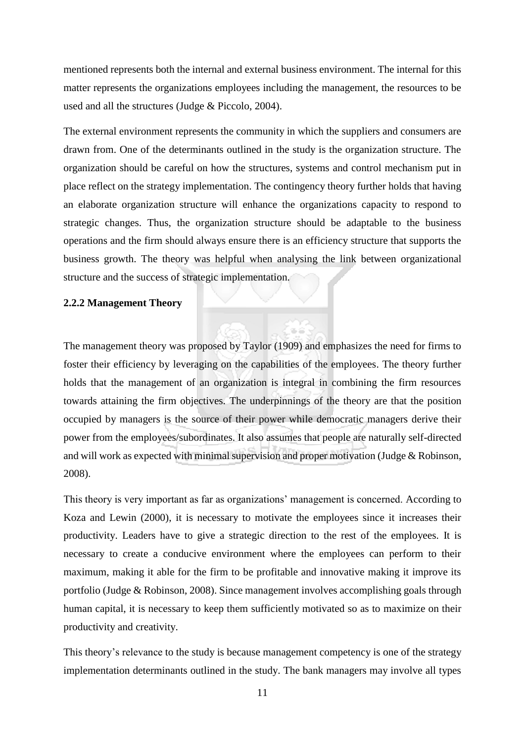mentioned represents both the internal and external business environment. The internal for this matter represents the organizations employees including the management, the resources to be used and all the structures (Judge & Piccolo, 2004).

The external environment represents the community in which the suppliers and consumers are drawn from. One of the determinants outlined in the study is the organization structure. The organization should be careful on how the structures, systems and control mechanism put in place reflect on the strategy implementation. The contingency theory further holds that having an elaborate organization structure will enhance the organizations capacity to respond to strategic changes. Thus, the organization structure should be adaptable to the business operations and the firm should always ensure there is an efficiency structure that supports the business growth. The theory was helpful when analysing the link between organizational structure and the success of strategic implementation.

#### <span id="page-24-0"></span>**2.2.2 Management Theory**

The management theory was proposed by Taylor (1909) and emphasizes the need for firms to foster their efficiency by leveraging on the capabilities of the employees. The theory further holds that the management of an organization is integral in combining the firm resources towards attaining the firm objectives. The underpinnings of the theory are that the position occupied by managers is the source of their power while democratic managers derive their power from the employees/subordinates. It also assumes that people are naturally self-directed and will work as expected with minimal supervision and proper motivation (Judge & Robinson, 2008).

This theory is very important as far as organizations' management is concerned. According to Koza and Lewin (2000), it is necessary to motivate the employees since it increases their productivity. Leaders have to give a strategic direction to the rest of the employees. It is necessary to create a conducive environment where the employees can perform to their maximum, making it able for the firm to be profitable and innovative making it improve its portfolio (Judge & Robinson, 2008). Since management involves accomplishing goals through human capital, it is necessary to keep them sufficiently motivated so as to maximize on their productivity and creativity.

This theory's relevance to the study is because management competency is one of the strategy implementation determinants outlined in the study. The bank managers may involve all types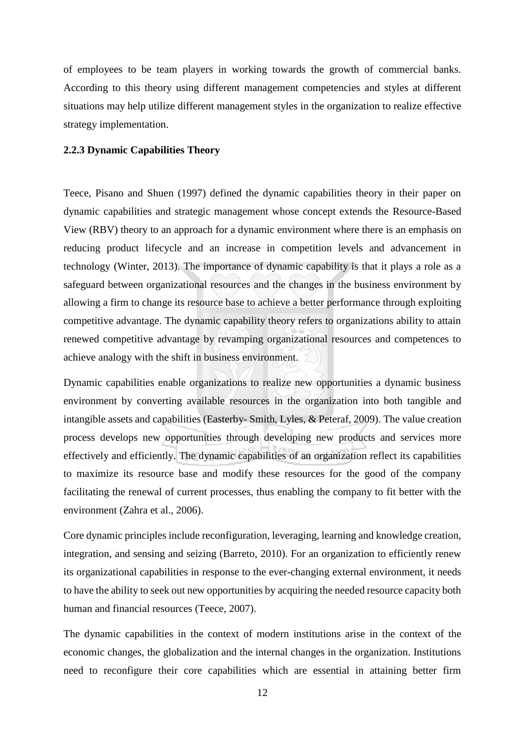of employees to be team players in working towards the growth of commercial banks. According to this theory using different management competencies and styles at different situations may help utilize different management styles in the organization to realize effective strategy implementation.

# <span id="page-25-0"></span>**2.2.3 Dynamic Capabilities Theory**

Teece, Pisano and Shuen (1997) defined the dynamic capabilities theory in their paper on dynamic capabilities and strategic management whose concept extends the Resource-Based View (RBV) theory to an approach for a dynamic environment where there is an emphasis on reducing product lifecycle and an increase in competition levels and advancement in technology (Winter, 2013). The importance of dynamic capability is that it plays a role as a safeguard between organizational resources and the changes in the business environment by allowing a firm to change its resource base to achieve a better performance through exploiting competitive advantage. The dynamic capability theory refers to organizations ability to attain renewed competitive advantage by revamping organizational resources and competences to achieve analogy with the shift in business environment.

Dynamic capabilities enable organizations to realize new opportunities a dynamic business environment by converting available resources in the organization into both tangible and intangible assets and capabilities (Easterby- Smith, Lyles, & Peteraf, 2009). The value creation process develops new opportunities through developing new products and services more effectively and efficiently. The dynamic capabilities of an organization reflect its capabilities to maximize its resource base and modify these resources for the good of the company facilitating the renewal of current processes, thus enabling the company to fit better with the environment (Zahra et al., 2006).

Core dynamic principles include reconfiguration, leveraging, learning and knowledge creation, integration, and sensing and seizing (Barreto, 2010). For an organization to efficiently renew its organizational capabilities in response to the ever-changing external environment, it needs to have the ability to seek out new opportunities by acquiring the needed resource capacity both human and financial resources (Teece, 2007).

The dynamic capabilities in the context of modern institutions arise in the context of the economic changes, the globalization and the internal changes in the organization. Institutions need to reconfigure their core capabilities which are essential in attaining better firm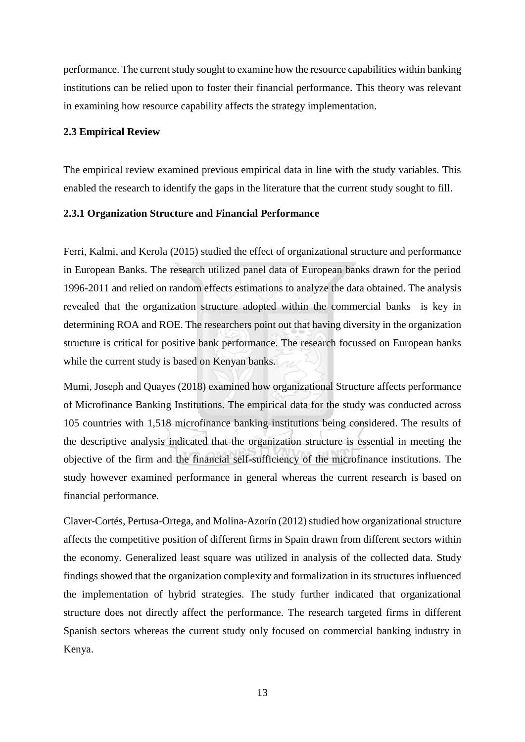performance. The current study sought to examine how the resource capabilities within banking institutions can be relied upon to foster their financial performance. This theory was relevant in examining how resource capability affects the strategy implementation.

### <span id="page-26-0"></span>**2.3 Empirical Review**

The empirical review examined previous empirical data in line with the study variables. This enabled the research to identify the gaps in the literature that the current study sought to fill.

#### <span id="page-26-1"></span>**2.3.1 Organization Structure and Financial Performance**

Ferri, Kalmi, and Kerola (2015) studied the effect of organizational structure and performance in European Banks. The research utilized panel data of European banks drawn for the period 1996-2011 and relied on random effects estimations to analyze the data obtained. The analysis revealed that the organization structure adopted within the commercial banks is key in determining ROA and ROE. The researchers point out that having diversity in the organization structure is critical for positive bank performance. The research focussed on European banks while the current study is based on Kenyan banks.

Mumi, Joseph and Quayes (2018) examined how organizational Structure affects performance of Microfinance Banking Institutions. The empirical data for the study was conducted across 105 countries with 1,518 microfinance banking institutions being considered. The results of the descriptive analysis indicated that the organization structure is essential in meeting the objective of the firm and the financial self-sufficiency of the microfinance institutions. The study however examined performance in general whereas the current research is based on financial performance.

Claver-Cortés, Pertusa-Ortega, and Molina-Azorín (2012) studied how organizational structure affects the competitive position of different firms in Spain drawn from different sectors within the economy. Generalized least square was utilized in analysis of the collected data. Study findings showed that the organization complexity and formalization in its structures influenced the implementation of hybrid strategies. The study further indicated that organizational structure does not directly affect the performance. The research targeted firms in different Spanish sectors whereas the current study only focused on commercial banking industry in Kenya.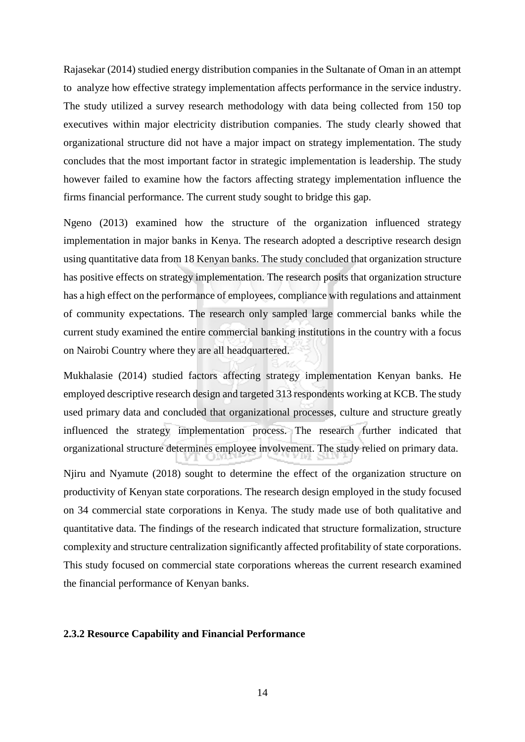Rajasekar (2014) studied energy distribution companies in the Sultanate of Oman in an attempt to analyze how effective strategy implementation affects performance in the service industry. The study utilized a survey research methodology with data being collected from 150 top executives within major electricity distribution companies. The study clearly showed that organizational structure did not have a major impact on strategy implementation. The study concludes that the most important factor in strategic implementation is leadership. The study however failed to examine how the factors affecting strategy implementation influence the firms financial performance. The current study sought to bridge this gap.

Ngeno (2013) examined how the structure of the organization influenced strategy implementation in major banks in Kenya. The research adopted a descriptive research design using quantitative data from 18 Kenyan banks. The study concluded that organization structure has positive effects on strategy implementation. The research posits that organization structure has a high effect on the performance of employees, compliance with regulations and attainment of community expectations. The research only sampled large commercial banks while the current study examined the entire commercial banking institutions in the country with a focus on Nairobi Country where they are all headquartered.

Mukhalasie (2014) studied factors affecting strategy implementation Kenyan banks. He employed descriptive research design and targeted 313 respondents working at KCB. The study used primary data and concluded that organizational processes, culture and structure greatly influenced the strategy implementation process. The research further indicated that organizational structure determines employee involvement. The study relied on primary data.

Njiru and Nyamute (2018) sought to determine the effect of the organization structure on productivity of Kenyan state corporations. The research design employed in the study focused on 34 commercial state corporations in Kenya. The study made use of both qualitative and quantitative data. The findings of the research indicated that structure formalization, structure complexity and structure centralization significantly affected profitability of state corporations. This study focused on commercial state corporations whereas the current research examined the financial performance of Kenyan banks.

#### <span id="page-27-0"></span>**2.3.2 Resource Capability and Financial Performance**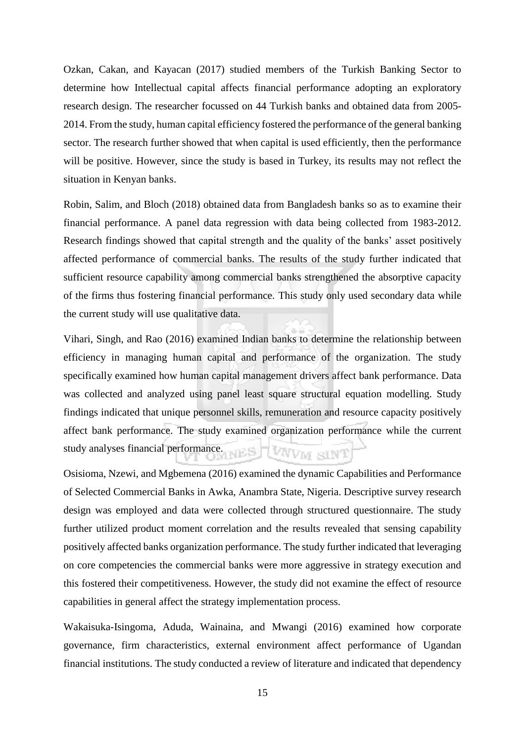Ozkan, Cakan, and Kayacan (2017) studied members of the Turkish Banking Sector to determine how Intellectual capital affects financial performance adopting an exploratory research design. The researcher focussed on 44 Turkish banks and obtained data from 2005- 2014. From the study, human capital efficiency fostered the performance of the general banking sector. The research further showed that when capital is used efficiently, then the performance will be positive. However, since the study is based in Turkey, its results may not reflect the situation in Kenyan banks.

Robin, Salim, and Bloch (2018) obtained data from Bangladesh banks so as to examine their financial performance. A panel data regression with data being collected from 1983-2012. Research findings showed that capital strength and the quality of the banks' asset positively affected performance of commercial banks. The results of the study further indicated that sufficient resource capability among commercial banks strengthened the absorptive capacity of the firms thus fostering financial performance. This study only used secondary data while the current study will use qualitative data.

Vihari, Singh, and Rao (2016) examined Indian banks to determine the relationship between efficiency in managing human capital and performance of the organization. The study specifically examined how human capital management drivers affect bank performance. Data was collected and analyzed using panel least square structural equation modelling. Study findings indicated that unique personnel skills, remuneration and resource capacity positively affect bank performance. The study examined organization performance while the current study analyses financial performance. UNVM SINT

Osisioma, Nzewi, and Mgbemena (2016) examined the dynamic Capabilities and Performance of Selected Commercial Banks in Awka, Anambra State, Nigeria. Descriptive survey research design was employed and data were collected through structured questionnaire. The study further utilized product moment correlation and the results revealed that sensing capability positively affected banks organization performance. The study further indicated that leveraging on core competencies the commercial banks were more aggressive in strategy execution and this fostered their competitiveness. However, the study did not examine the effect of resource capabilities in general affect the strategy implementation process.

Wakaisuka-Isingoma, Aduda, Wainaina, and Mwangi (2016) examined how corporate governance, firm characteristics, external environment affect performance of Ugandan financial institutions. The study conducted a review of literature and indicated that dependency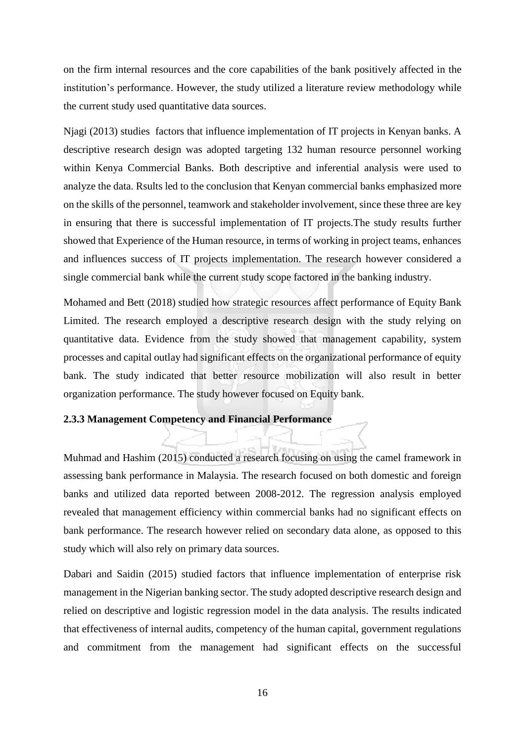on the firm internal resources and the core capabilities of the bank positively affected in the institution's performance. However, the study utilized a literature review methodology while the current study used quantitative data sources.

Njagi (2013) studies factors that influence implementation of IT projects in Kenyan banks. A descriptive research design was adopted targeting 132 human resource personnel working within Kenya Commercial Banks. Both descriptive and inferential analysis were used to analyze the data. Rsults led to the conclusion that Kenyan commercial banks emphasized more on the skills of the personnel, teamwork and stakeholder involvement, since these three are key in ensuring that there is successful implementation of IT projects.The study results further showed that Experience of the Human resource, in terms of working in project teams, enhances and influences success of IT projects implementation. The research however considered a single commercial bank while the current study scope factored in the banking industry.

Mohamed and Bett (2018) studied how strategic resources affect performance of Equity Bank Limited. The research employed a descriptive research design with the study relying on quantitative data. Evidence from the study showed that management capability, system processes and capital outlay had significant effects on the organizational performance of equity bank. The study indicated that better resource mobilization will also result in better organization performance. The study however focused on Equity bank.

# <span id="page-29-0"></span>**2.3.3 Management Competency and Financial Performance**

Muhmad and Hashim (2015) conducted a research focusing on using the camel framework in assessing bank performance in Malaysia. The research focused on both domestic and foreign banks and utilized data reported between 2008-2012. The regression analysis employed revealed that management efficiency within commercial banks had no significant effects on bank performance. The research however relied on secondary data alone, as opposed to this study which will also rely on primary data sources.

Dabari and Saidin (2015) studied factors that influence implementation of enterprise risk management in the Nigerian banking sector. The study adopted descriptive research design and relied on descriptive and logistic regression model in the data analysis. The results indicated that effectiveness of internal audits, competency of the human capital, government regulations and commitment from the management had significant effects on the successful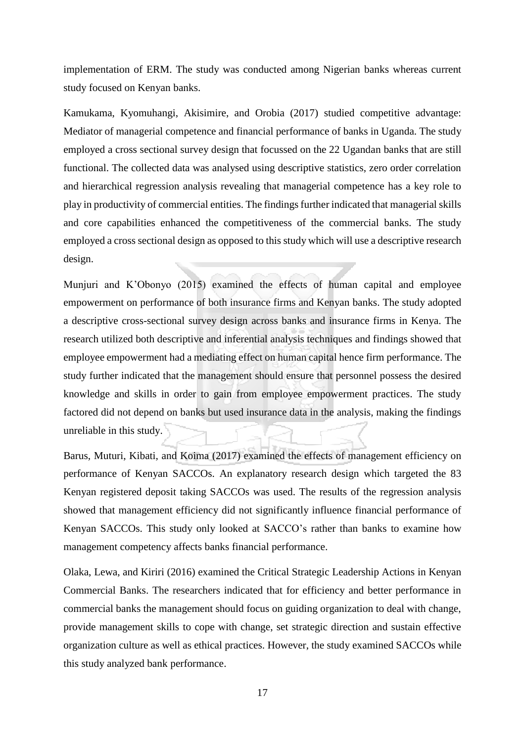implementation of ERM. The study was conducted among Nigerian banks whereas current study focused on Kenyan banks.

Kamukama, Kyomuhangi, Akisimire, and Orobia (2017) studied competitive advantage: Mediator of managerial competence and financial performance of banks in Uganda. The study employed a cross sectional survey design that focussed on the 22 Ugandan banks that are still functional. The collected data was analysed using descriptive statistics, zero order correlation and hierarchical regression analysis revealing that managerial competence has a key role to play in productivity of commercial entities. The findings further indicated that managerial skills and core capabilities enhanced the competitiveness of the commercial banks. The study employed a cross sectional design as opposed to this study which will use a descriptive research design.

Munjuri and K'Obonyo (2015) examined the effects of human capital and employee empowerment on performance of both insurance firms and Kenyan banks. The study adopted a descriptive cross-sectional survey design across banks and insurance firms in Kenya. The research utilized both descriptive and inferential analysis techniques and findings showed that employee empowerment had a mediating effect on human capital hence firm performance. The study further indicated that the management should ensure that personnel possess the desired knowledge and skills in order to gain from employee empowerment practices. The study factored did not depend on banks but used insurance data in the analysis, making the findings unreliable in this study.

Barus, Muturi, Kibati, and Koima (2017) examined the effects of management efficiency on performance of Kenyan SACCOs. An explanatory research design which targeted the 83 Kenyan registered deposit taking SACCOs was used. The results of the regression analysis showed that management efficiency did not significantly influence financial performance of Kenyan SACCOs. This study only looked at SACCO's rather than banks to examine how management competency affects banks financial performance.

Olaka, Lewa, and Kiriri (2016) examined the Critical Strategic Leadership Actions in Kenyan Commercial Banks. The researchers indicated that for efficiency and better performance in commercial banks the management should focus on guiding organization to deal with change, provide management skills to cope with change, set strategic direction and sustain effective organization culture as well as ethical practices. However, the study examined SACCOs while this study analyzed bank performance.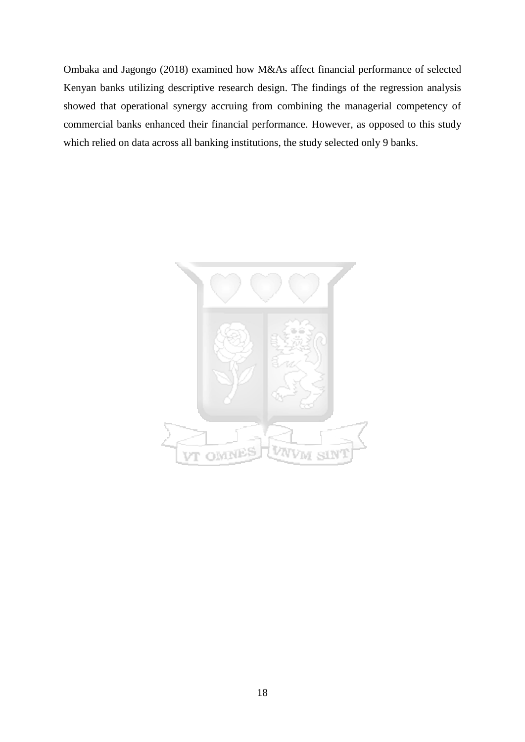Ombaka and Jagongo (2018) examined how M&As affect financial performance of selected Kenyan banks utilizing descriptive research design. The findings of the regression analysis showed that operational synergy accruing from combining the managerial competency of commercial banks enhanced their financial performance. However, as opposed to this study which relied on data across all banking institutions, the study selected only 9 banks.

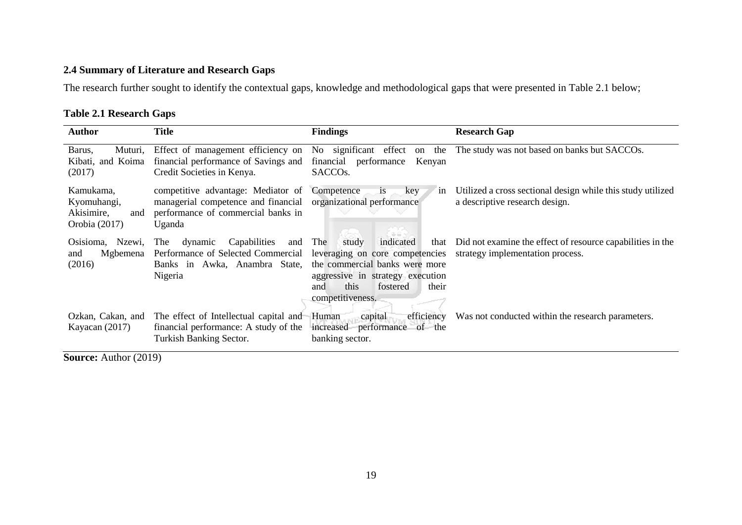# **2.4 Summary of Literature and Research Gaps**

The research further sought to identify the contextual gaps, knowledge and methodological gaps that were presented in Table 2.1 below;

# **Table 2.1 Research Gaps**

| <b>Author</b>                                                  | <b>Title</b>                                                                                                                   | <b>Findings</b>                                                                                                                                                                                    | <b>Research Gap</b>                                                                            |
|----------------------------------------------------------------|--------------------------------------------------------------------------------------------------------------------------------|----------------------------------------------------------------------------------------------------------------------------------------------------------------------------------------------------|------------------------------------------------------------------------------------------------|
| Barus,<br>Muturi,<br>Kibati, and Koima<br>(2017)               | Effect of management efficiency on<br>financial performance of Savings and<br>Credit Societies in Kenya.                       | No significant effect<br>the<br>on<br>performance<br>financial<br>Kenyan<br>SACCO <sub>s</sub> .                                                                                                   | The study was not based on banks but SACCOs.                                                   |
| Kamukama,<br>Kyomuhangi,<br>Akisimire,<br>and<br>Orobia (2017) | competitive advantage: Mediator of<br>managerial competence and financial<br>performance of commercial banks in<br>Uganda      | Competence<br><i>is</i><br>key<br>1n<br>organizational performance                                                                                                                                 | Utilized a cross sectional design while this study utilized<br>a descriptive research design.  |
| Osisioma, Nzewi,<br>Mgbemena<br>and<br>(2016)                  | Capabilities<br>dynamic<br><b>The</b><br>and<br>Performance of Selected Commercial<br>Banks in Awka, Anambra State,<br>Nigeria | The<br>indicated<br>study<br>that<br>leveraging on core competencies<br>the commercial banks were more<br>aggressive in strategy execution<br>this<br>fostered<br>their<br>and<br>competitiveness. | Did not examine the effect of resource capabilities in the<br>strategy implementation process. |
| Ozkan, Cakan, and<br>Kayacan $(2017)$                          | The effect of Intellectual capital and<br>financial performance: A study of the<br>Turkish Banking Sector.                     | efficiency<br>Human<br>capital<br>increased performance of the<br>banking sector.                                                                                                                  | Was not conducted within the research parameters.                                              |

<span id="page-32-1"></span><span id="page-32-0"></span>**Source:** Author (2019)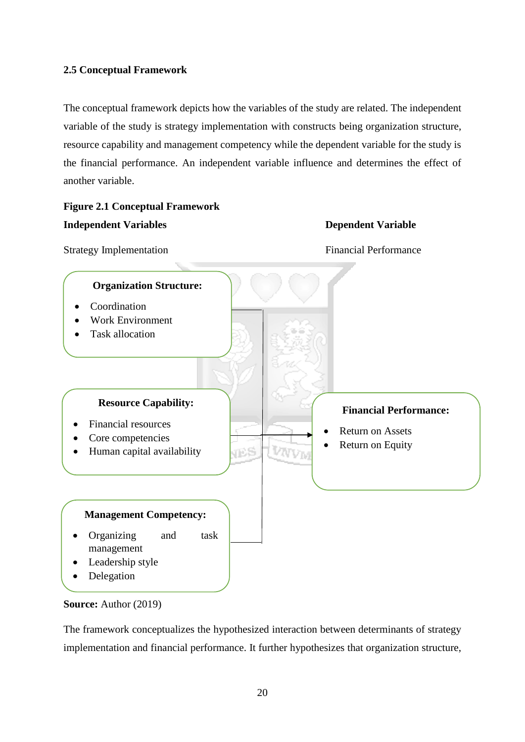# <span id="page-33-0"></span>**2.5 Conceptual Framework**

The conceptual framework depicts how the variables of the study are related. The independent variable of the study is strategy implementation with constructs being organization structure, resource capability and management competency while the dependent variable for the study is the financial performance. An independent variable influence and determines the effect of another variable.

# <span id="page-33-1"></span>**Figure 2.1 Conceptual Framework Independent Variables Dependent Variable Strategy Implementation Financial Performance Organization Structure:** Coordination Work Environment Task allocation **Resource Capability: Financial Performance:** • Financial resources Return on Assets Core competencies Return on Equity VES VAVVM • Human capital availability **Management Competency:** Organizing and task management Leadership style Delegation



The framework conceptualizes the hypothesized interaction between determinants of strategy implementation and financial performance. It further hypothesizes that organization structure,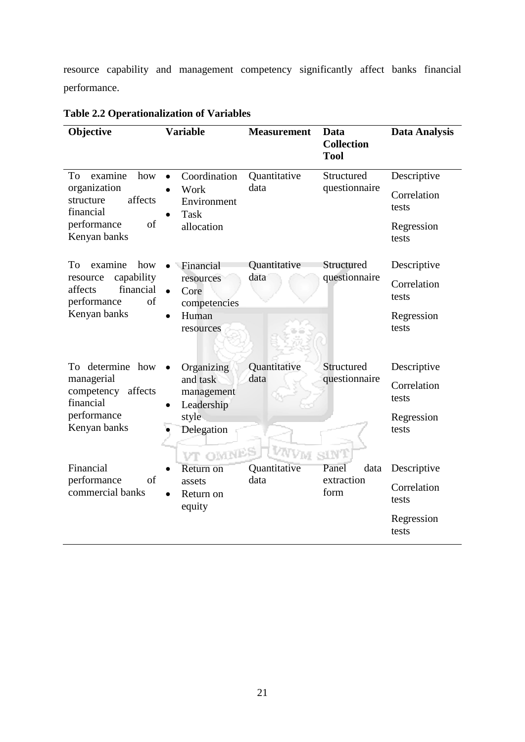resource capability and management competency significantly affect banks financial performance.

| Objective                                                                                                      | <b>Variable</b>                                                                       | <b>Measurement</b>   | Data<br><b>Collection</b><br><b>Tool</b> | <b>Data Analysis</b>                                       |
|----------------------------------------------------------------------------------------------------------------|---------------------------------------------------------------------------------------|----------------------|------------------------------------------|------------------------------------------------------------|
| examine<br>To<br>how<br>organization<br>affects<br>structure<br>financial<br>of<br>performance<br>Kenyan banks | Coordination<br>$\bullet$<br>Work<br>Environment<br><b>Task</b><br>allocation         | Quantitative<br>data | Structured<br>questionnaire              | Descriptive<br>Correlation<br>tests<br>Regression<br>tests |
| examine<br>how<br>Tо<br>capability<br>resource<br>financial<br>affects<br>of<br>performance<br>Kenyan banks    | Financial<br>resources<br>Core<br>competencies<br>Human<br>$\bullet$<br>resources     | Quantitative<br>data | Structured<br>questionnaire              | Descriptive<br>Correlation<br>tests<br>Regression<br>tests |
| To determine how<br>managerial<br>competency<br>affects<br>financial<br>performance<br>Kenyan banks            | Organizing<br>and task<br>management<br>Leadership<br>style<br>Delegation<br>VT OMNES | Quantitative<br>data | Structured<br>questionnaire<br>SINT      | Descriptive<br>Correlation<br>tests<br>Regression<br>tests |
| Financial<br>performance<br>of<br>commercial banks                                                             | Return on<br>assets<br>Return on<br>equity                                            | Quantitative<br>data | Panel<br>data<br>extraction<br>form      | Descriptive<br>Correlation<br>tests<br>Regression<br>tests |

<span id="page-34-0"></span>**Table 2.2 Operationalization of Variables**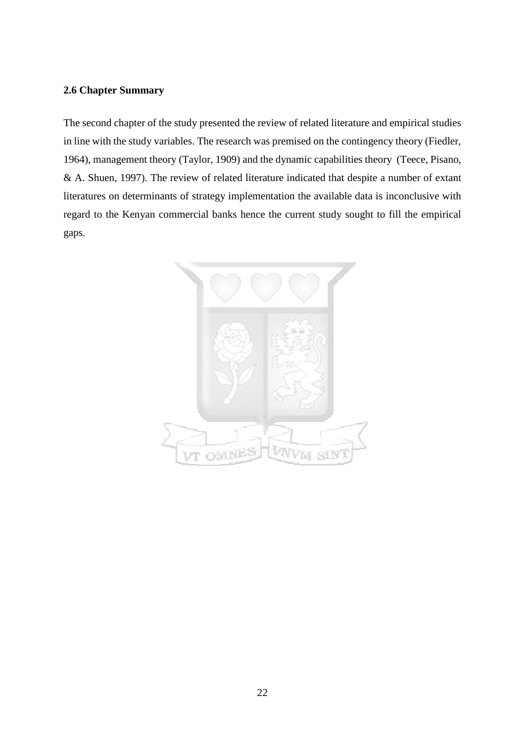# <span id="page-35-0"></span>**2.6 Chapter Summary**

The second chapter of the study presented the review of related literature and empirical studies in line with the study variables. The research was premised on the contingency theory (Fiedler, 1964), management theory (Taylor, 1909) and the dynamic capabilities theory (Teece, Pisano, & A. Shuen, 1997). The review of related literature indicated that despite a number of extant literatures on determinants of strategy implementation the available data is inconclusive with regard to the Kenyan commercial banks hence the current study sought to fill the empirical gaps.

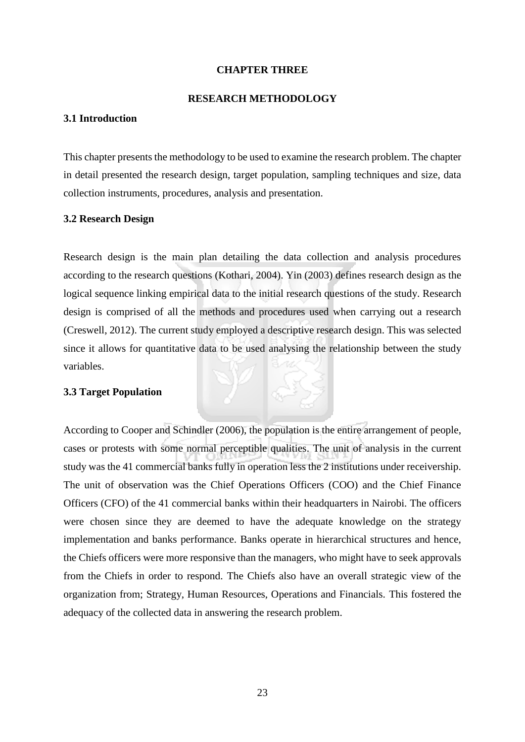#### **CHAPTER THREE**

#### **RESEARCH METHODOLOGY**

#### **3.1 Introduction**

This chapter presents the methodology to be used to examine the research problem. The chapter in detail presented the research design, target population, sampling techniques and size, data collection instruments, procedures, analysis and presentation.

## **3.2 Research Design**

Research design is the main plan detailing the data collection and analysis procedures according to the research questions (Kothari, 2004). Yin (2003) defines research design as the logical sequence linking empirical data to the initial research questions of the study. Research design is comprised of all the methods and procedures used when carrying out a research (Creswell, 2012). The current study employed a descriptive research design. This was selected since it allows for quantitative data to be used analysing the relationship between the study variables.

## **3.3 Target Population**

According to Cooper and Schindler (2006), the population is the entire arrangement of people, cases or protests with some normal perceptible qualities. The unit of analysis in the current study was the 41 commercial banks fully in operation less the 2 institutions under receivership. The unit of observation was the Chief Operations Officers (COO) and the Chief Finance Officers (CFO) of the 41 commercial banks within their headquarters in Nairobi. The officers were chosen since they are deemed to have the adequate knowledge on the strategy implementation and banks performance. Banks operate in hierarchical structures and hence, the Chiefs officers were more responsive than the managers, who might have to seek approvals from the Chiefs in order to respond. The Chiefs also have an overall strategic view of the organization from; Strategy, Human Resources, Operations and Financials. This fostered the adequacy of the collected data in answering the research problem.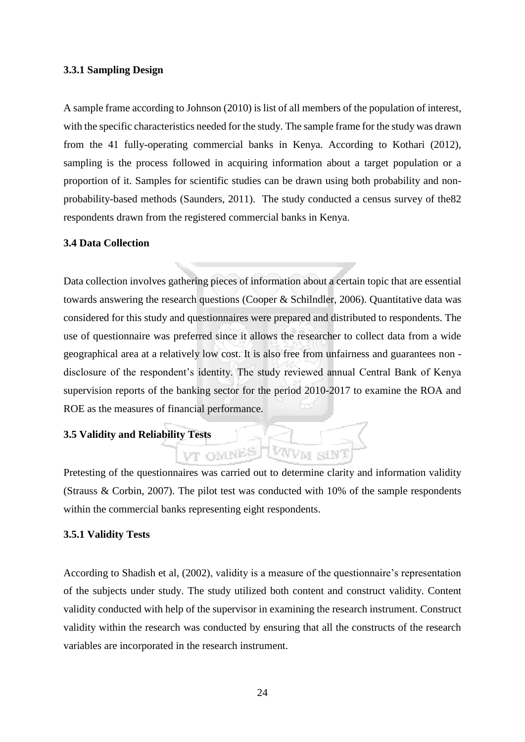#### **3.3.1 Sampling Design**

A sample frame according to Johnson (2010) is list of all members of the population of interest, with the specific characteristics needed for the study. The sample frame for the study was drawn from the 41 fully-operating commercial banks in Kenya. According to Kothari (2012), sampling is the process followed in acquiring information about a target population or a proportion of it. Samples for scientific studies can be drawn using both probability and nonprobability-based methods (Saunders, 2011). The study conducted a census survey of the82 respondents drawn from the registered commercial banks in Kenya.

#### **3.4 Data Collection**

Data collection involves gathering pieces of information about a certain topic that are essential towards answering the research questions (Cooper & Schilndler, 2006). Quantitative data was considered for this study and questionnaires were prepared and distributed to respondents. The use of questionnaire was preferred since it allows the researcher to collect data from a wide geographical area at a relatively low cost. It is also free from unfairness and guarantees non disclosure of the respondent's identity. The study reviewed annual Central Bank of Kenya supervision reports of the banking sector for the period 2010-2017 to examine the ROA and ROE as the measures of financial performance.

## **3.5 Validity and Reliability Tests**

Pretesting of the questionnaires was carried out to determine clarity and information validity (Strauss & Corbin, 2007). The pilot test was conducted with 10% of the sample respondents within the commercial banks representing eight respondents.

VT OMNES

#### **3.5.1 Validity Tests**

According to Shadish et al, (2002), validity is a measure of the questionnaire's representation of the subjects under study. The study utilized both content and construct validity. Content validity conducted with help of the supervisor in examining the research instrument. Construct validity within the research was conducted by ensuring that all the constructs of the research variables are incorporated in the research instrument.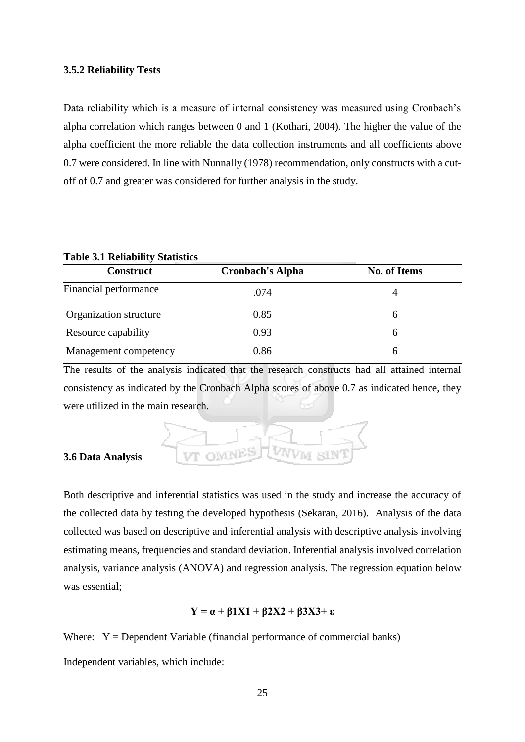#### **3.5.2 Reliability Tests**

Data reliability which is a measure of internal consistency was measured using Cronbach's alpha correlation which ranges between 0 and 1 (Kothari, 2004). The higher the value of the alpha coefficient the more reliable the data collection instruments and all coefficients above 0.7 were considered. In line with Nunnally (1978) recommendation, only constructs with a cutoff of 0.7 and greater was considered for further analysis in the study.

#### **Table 3.1 Reliability Statistics**

| <b>Construct</b>       | <b>Cronbach's Alpha</b> | <b>No. of Items</b> |
|------------------------|-------------------------|---------------------|
| Financial performance  | .074                    | 4                   |
| Organization structure | 0.85                    | <sub>0</sub>        |
| Resource capability    | 0.93                    | 6                   |
| Management competency  | 0.86                    | 6                   |

The results of the analysis indicated that the research constructs had all attained internal consistency as indicated by the Cronbach Alpha scores of above 0.7 as indicated hence, they were utilized in the main research.



#### **3.6 Data Analysis**

Both descriptive and inferential statistics was used in the study and increase the accuracy of the collected data by testing the developed hypothesis (Sekaran, 2016). Analysis of the data collected was based on descriptive and inferential analysis with descriptive analysis involving estimating means, frequencies and standard deviation. Inferential analysis involved correlation analysis, variance analysis (ANOVA) and regression analysis. The regression equation below was essential;

## **Y = α + β1X1 + β2X2 + β3X3+ ε**

Where:  $Y = Dependent Variable (financial performance of commercial banks)$ 

Independent variables, which include: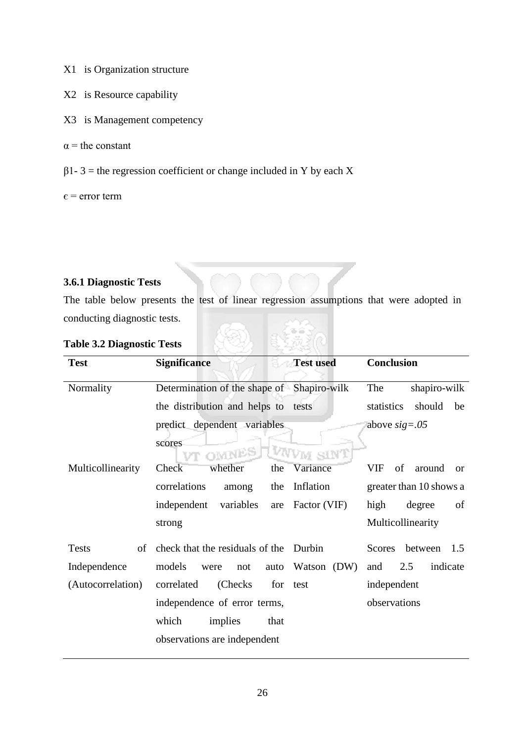- X1 is Organization structure
- X2 is Resource capability
- X3 is Management competency
- $\alpha$  = the constant
- $β1 3 =$  the regression coefficient or change included in Y by each X

 $\epsilon$  = error term

## **3.6.1 Diagnostic Tests**

The table below presents the test of linear regression assumptions that were adopted in conducting diagnostic tests.

| <b>Test</b>        | <b>Significance</b>                                  | <b>Test used</b> | Conclusion                       |
|--------------------|------------------------------------------------------|------------------|----------------------------------|
| Normality          | Determination of the shape of Shapiro-wilk           |                  | shapiro-wilk<br>The              |
|                    | the distribution and helps to                        | tests            | statistics<br>should<br>be       |
|                    | predict dependent variables<br>scores<br>OMNES<br>VT | m sınT           | above $sig=.05$                  |
| Multicollinearity  | Check <sup>-</sup><br>whether<br>the                 | Variance         | VIF<br>of<br>around<br><b>or</b> |
|                    | correlations<br>among<br>the                         | Inflation        | greater than 10 shows a          |
|                    | variables<br>independent<br>are                      | Factor (VIF)     | high<br>degree<br>of             |
|                    | strong                                               |                  | Multicollinearity                |
| <b>Tests</b><br>of | check that the residuals of the Durbin               |                  | <b>Scores</b><br>between<br>1.5  |
| Independence       | models<br>were<br>not<br>auto                        | Watson (DW)      | indicate<br>2.5<br>and           |
| (Autocorrelation)  | correlated<br>(Checks)<br>for                        | test             | independent                      |
|                    | independence of error terms,                         |                  | observations                     |
|                    | which<br>implies<br>that                             |                  |                                  |
|                    | observations are independent                         |                  |                                  |

## **Table 3.2 Diagnostic Tests**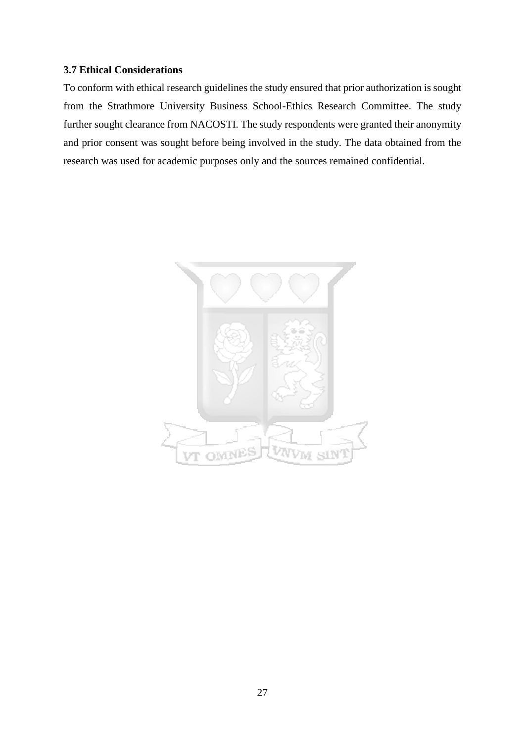## **3.7 Ethical Considerations**

To conform with ethical research guidelines the study ensured that prior authorization is sought from the Strathmore University Business School-Ethics Research Committee. The study further sought clearance from NACOSTI. The study respondents were granted their anonymity and prior consent was sought before being involved in the study. The data obtained from the research was used for academic purposes only and the sources remained confidential.

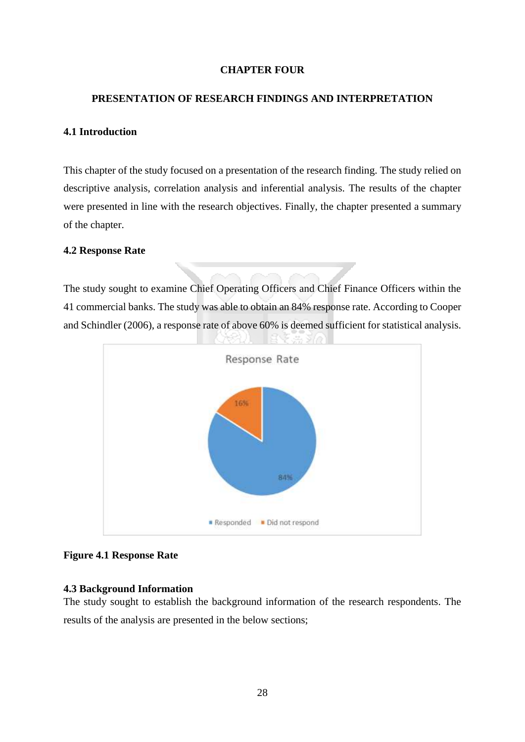## **CHAPTER FOUR**

#### **PRESENTATION OF RESEARCH FINDINGS AND INTERPRETATION**

#### **4.1 Introduction**

This chapter of the study focused on a presentation of the research finding. The study relied on descriptive analysis, correlation analysis and inferential analysis. The results of the chapter were presented in line with the research objectives. Finally, the chapter presented a summary of the chapter.

## **4.2 Response Rate**

The study sought to examine Chief Operating Officers and Chief Finance Officers within the 41 commercial banks. The study was able to obtain an 84% response rate. According to Cooper and Schindler (2006), a response rate of above 60% is deemed sufficient for statistical analysis.



## **Figure 4.1 Response Rate**

#### **4.3 Background Information**

The study sought to establish the background information of the research respondents. The results of the analysis are presented in the below sections;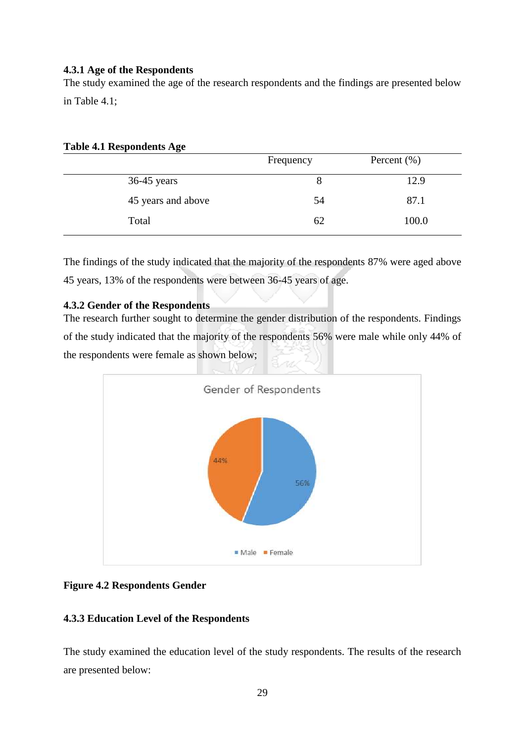## **4.3.1 Age of the Respondents**

The study examined the age of the research respondents and the findings are presented below in Table 4.1;

## **Table 4.1 Respondents Age**

|                    | Frequency | Percent $(\% )$ |
|--------------------|-----------|-----------------|
| $36-45$ years      | 8         | 12.9            |
| 45 years and above | 54        | 87.1            |
| Total              | 62        | 100.0           |

The findings of the study indicated that the majority of the respondents 87% were aged above 45 years, 13% of the respondents were between 36-45 years of age.

## **4.3.2 Gender of the Respondents**

The research further sought to determine the gender distribution of the respondents. Findings of the study indicated that the majority of the respondents 56% were male while only 44% of the respondents were female as shown below;



## **Figure 4.2 Respondents Gender**

## **4.3.3 Education Level of the Respondents**

The study examined the education level of the study respondents. The results of the research are presented below: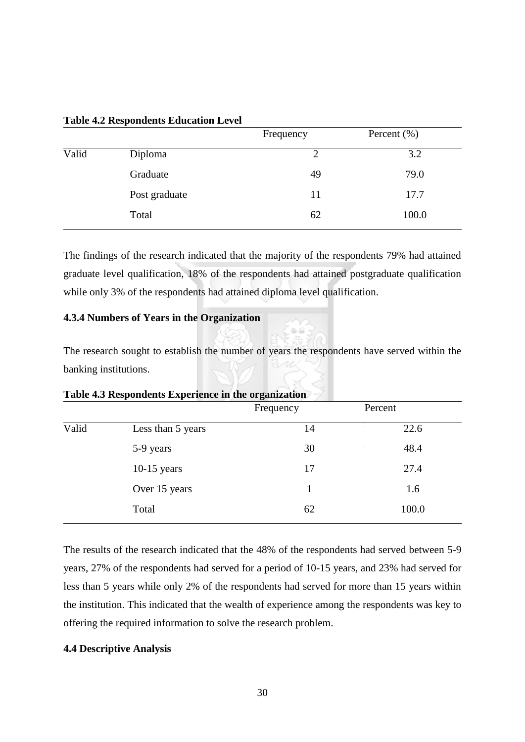|               | Frequency | Percent $(\% )$ |
|---------------|-----------|-----------------|
| Diploma       | 2         | 3.2             |
| Graduate      | 49        | 79.0            |
| Post graduate | 11        | 17.7            |
| Total         | 62        | 100.0           |
|               |           |                 |

**Table 4.2 Respondents Education Level** 

The findings of the research indicated that the majority of the respondents 79% had attained graduate level qualification, 18% of the respondents had attained postgraduate qualification while only 3% of the respondents had attained diploma level qualification.

## **4.3.4 Numbers of Years in the Organization**

The research sought to establish the number of years the respondents have served within the banking institutions.

| Table 4.3 Respondents Experience in the organization |                   |           |         |  |  |
|------------------------------------------------------|-------------------|-----------|---------|--|--|
|                                                      |                   | Frequency | Percent |  |  |
| Valid                                                | Less than 5 years | 14        | 22.6    |  |  |
|                                                      | 5-9 years         | 30        | 48.4    |  |  |
|                                                      | $10-15$ years     | 17        | 27.4    |  |  |
|                                                      | Over 15 years     | 1         | 1.6     |  |  |
|                                                      | Total             | 62        | 100.0   |  |  |

The results of the research indicated that the 48% of the respondents had served between 5-9 years, 27% of the respondents had served for a period of 10-15 years, and 23% had served for less than 5 years while only 2% of the respondents had served for more than 15 years within the institution. This indicated that the wealth of experience among the respondents was key to offering the required information to solve the research problem.

#### **4.4 Descriptive Analysis**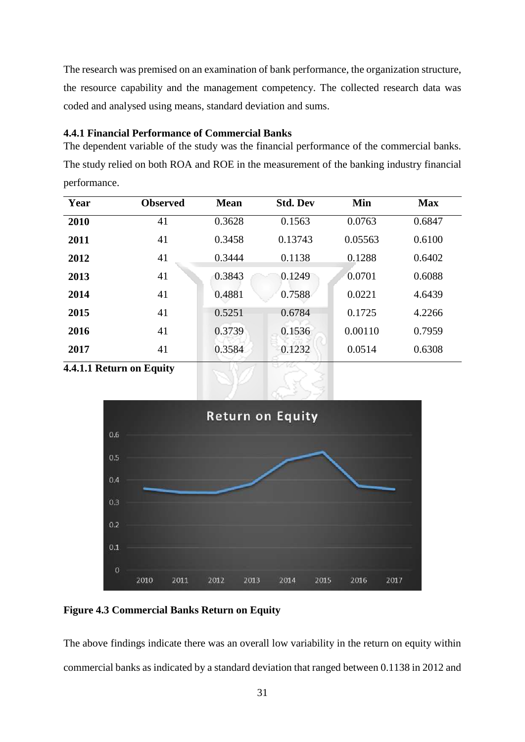The research was premised on an examination of bank performance, the organization structure, the resource capability and the management competency. The collected research data was coded and analysed using means, standard deviation and sums.

## **4.4.1 Financial Performance of Commercial Banks**

The dependent variable of the study was the financial performance of the commercial banks. The study relied on both ROA and ROE in the measurement of the banking industry financial performance.

| Year | <b>Observed</b> | <b>Mean</b> | <b>Std. Dev</b> | Min     | <b>Max</b> |
|------|-----------------|-------------|-----------------|---------|------------|
| 2010 | 41              | 0.3628      | 0.1563          | 0.0763  | 0.6847     |
| 2011 | 41              | 0.3458      | 0.13743         | 0.05563 | 0.6100     |
| 2012 | 41              | 0.3444      | 0.1138          | 0.1288  | 0.6402     |
| 2013 | 41              | 0.3843      | 0.1249          | 0.0701  | 0.6088     |
| 2014 | 41              | 0.4881      | 0.7588          | 0.0221  | 4.6439     |
| 2015 | 41              | 0.5251      | 0.6784          | 0.1725  | 4.2266     |
| 2016 | 41              | 0.3739      | 0.1536          | 0.00110 | 0.7959     |
| 2017 | 41              | 0.3584      | 0.1232          | 0.0514  | 0.6308     |
|      |                 |             |                 |         |            |

**4.4.1.1 Return on Equity** 



**Figure 4.3 Commercial Banks Return on Equity** 

The above findings indicate there was an overall low variability in the return on equity within commercial banks as indicated by a standard deviation that ranged between 0.1138 in 2012 and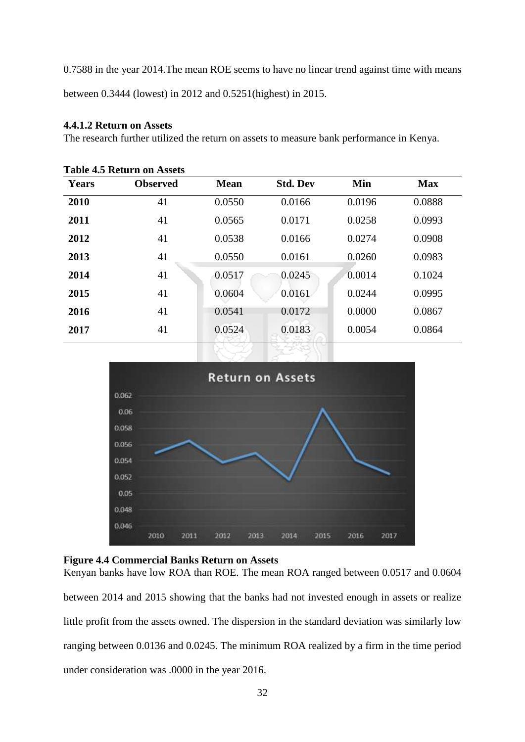0.7588 in the year 2014.The mean ROE seems to have no linear trend against time with means

between 0.3444 (lowest) in 2012 and 0.5251(highest) in 2015.

## **4.4.1.2 Return on Assets**

The research further utilized the return on assets to measure bank performance in Kenya.

| <b>Table 4.5 Return on Assets</b> |                 |             |                 |        |            |  |
|-----------------------------------|-----------------|-------------|-----------------|--------|------------|--|
| Years                             | <b>Observed</b> | <b>Mean</b> | <b>Std. Dev</b> | Min    | <b>Max</b> |  |
| 2010                              | 41              | 0.0550      | 0.0166          | 0.0196 | 0.0888     |  |
| 2011                              | 41              | 0.0565      | 0.0171          | 0.0258 | 0.0993     |  |
| 2012                              | 41              | 0.0538      | 0.0166          | 0.0274 | 0.0908     |  |
| 2013                              | 41              | 0.0550      | 0.0161          | 0.0260 | 0.0983     |  |
| 2014                              | 41              | 0.0517      | 0.0245          | 0.0014 | 0.1024     |  |
| 2015                              | 41              | 0.0604      | 0.0161          | 0.0244 | 0.0995     |  |
| 2016                              | 41              | 0.0541      | 0.0172          | 0.0000 | 0.0867     |  |
| 2017                              | 41              | 0.0524      | 0.0183          | 0.0054 | 0.0864     |  |



## **Figure 4.4 Commercial Banks Return on Assets**

Kenyan banks have low ROA than ROE. The mean ROA ranged between 0.0517 and 0.0604 between 2014 and 2015 showing that the banks had not invested enough in assets or realize little profit from the assets owned. The dispersion in the standard deviation was similarly low ranging between 0.0136 and 0.0245. The minimum ROA realized by a firm in the time period under consideration was .0000 in the year 2016.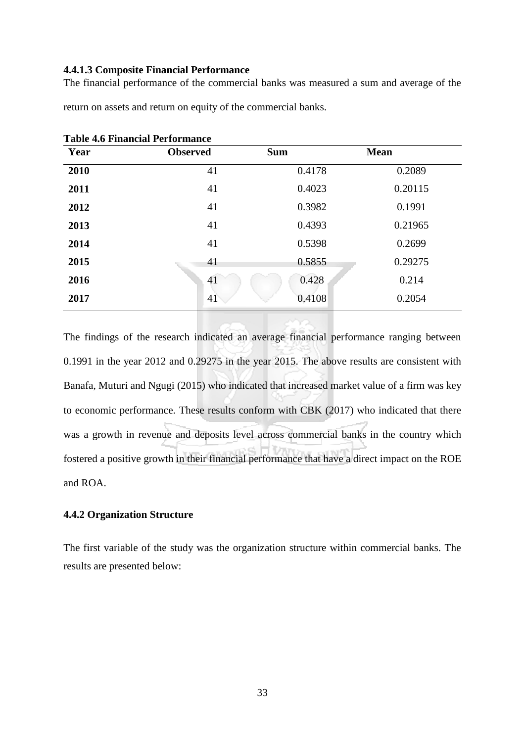#### **4.4.1.3 Composite Financial Performance**

The financial performance of the commercial banks was measured a sum and average of the

| <b>Table 4.6 Financial Performance</b> |                 |            |             |  |  |  |
|----------------------------------------|-----------------|------------|-------------|--|--|--|
| Year                                   | <b>Observed</b> | <b>Sum</b> | <b>Mean</b> |  |  |  |
| 2010                                   | 41              | 0.4178     | 0.2089      |  |  |  |
| 2011                                   | 41              | 0.4023     | 0.20115     |  |  |  |
| 2012                                   | 41              | 0.3982     | 0.1991      |  |  |  |
| 2013                                   | 41              | 0.4393     | 0.21965     |  |  |  |
| 2014                                   | 41              | 0.5398     | 0.2699      |  |  |  |
| 2015                                   | 41              | 0.5855     | 0.29275     |  |  |  |
| 2016                                   | 41              | 0.428      | 0.214       |  |  |  |
| 2017                                   | 41              | 0.4108     | 0.2054      |  |  |  |

return on assets and return on equity of the commercial banks.

The findings of the research indicated an average financial performance ranging between 0.1991 in the year 2012 and 0.29275 in the year 2015. The above results are consistent with Banafa, Muturi and Ngugi (2015) who indicated that increased market value of a firm was key to economic performance. These results conform with CBK (2017) who indicated that there was a growth in revenue and deposits level across commercial banks in the country which fostered a positive growth in their financial performance that have a direct impact on the ROE and ROA.

#### **4.4.2 Organization Structure**

The first variable of the study was the organization structure within commercial banks. The results are presented below: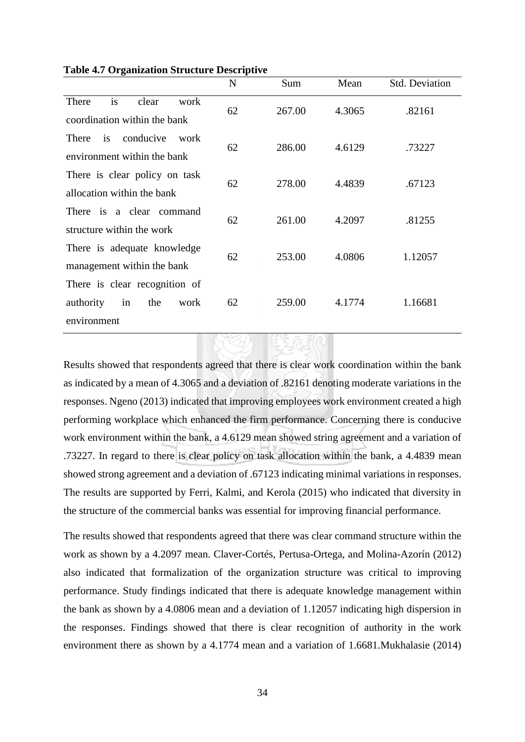|                                                                                | $\mathbf N$ | Sum    | Mean   | Std. Deviation |
|--------------------------------------------------------------------------------|-------------|--------|--------|----------------|
| is<br>There<br>clear<br>work<br>coordination within the bank                   | 62          | 267.00 | 4.3065 | .82161         |
| conducive<br>is<br>work<br>There<br>environment within the bank                | 62          | 286.00 | 4.6129 | .73227         |
| There is clear policy on task<br>allocation within the bank                    | 62          | 278.00 | 4.4839 | .67123         |
| There is a clear command<br>structure within the work                          | 62          | 261.00 | 4.2097 | .81255         |
| There is adequate knowledge<br>management within the bank                      | 62          | 253.00 | 4.0806 | 1.12057        |
| There is clear recognition of<br>authority<br>the<br>work<br>in<br>environment | 62          | 259.00 | 4.1774 | 1.16681        |

**Table 4.7 Organization Structure Descriptive** 

Results showed that respondents agreed that there is clear work coordination within the bank as indicated by a mean of 4.3065 and a deviation of .82161 denoting moderate variations in the responses. Ngeno (2013) indicated that improving employees work environment created a high performing workplace which enhanced the firm performance. Concerning there is conducive work environment within the bank, a 4.6129 mean showed string agreement and a variation of .73227. In regard to there is clear policy on task allocation within the bank, a 4.4839 mean showed strong agreement and a deviation of .67123 indicating minimal variations in responses. The results are supported by Ferri, Kalmi, and Kerola (2015) who indicated that diversity in the structure of the commercial banks was essential for improving financial performance.

The results showed that respondents agreed that there was clear command structure within the work as shown by a 4.2097 mean. Claver-Cortés, Pertusa-Ortega, and Molina-Azorín (2012) also indicated that formalization of the organization structure was critical to improving performance. Study findings indicated that there is adequate knowledge management within the bank as shown by a 4.0806 mean and a deviation of 1.12057 indicating high dispersion in the responses. Findings showed that there is clear recognition of authority in the work environment there as shown by a 4.1774 mean and a variation of 1.6681.Mukhalasie (2014)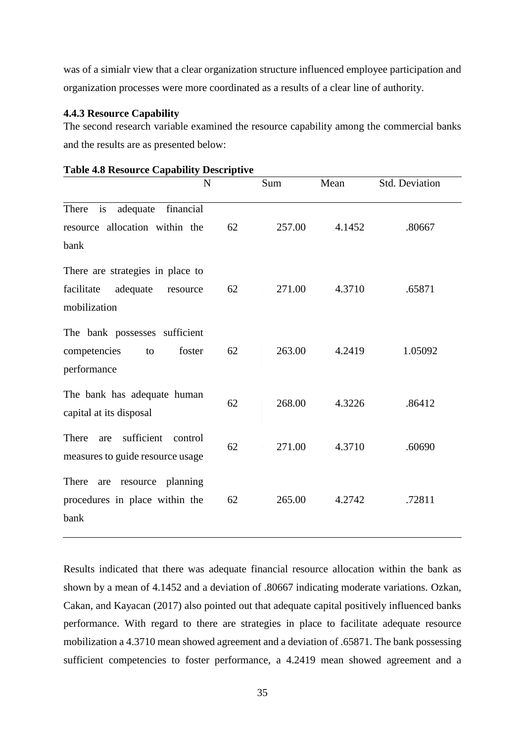was of a simialr view that a clear organization structure influenced employee participation and organization processes were more coordinated as a results of a clear line of authority.

#### **4.4.3 Resource Capability**

The second research variable examined the resource capability among the commercial banks and the results are as presented below:

| N                                                                                      |    | Sum    | Mean   | Std. Deviation |
|----------------------------------------------------------------------------------------|----|--------|--------|----------------|
| is<br>financial<br>adequate<br>There<br>resource allocation within the<br>bank         | 62 | 257.00 | 4.1452 | .80667         |
| There are strategies in place to<br>facilitate<br>adequate<br>resource<br>mobilization | 62 | 271.00 | 4.3710 | .65871         |
| The bank possesses sufficient<br>competencies<br>foster<br>to<br>performance           | 62 | 263.00 | 4.2419 | 1.05092        |
| The bank has adequate human<br>capital at its disposal                                 | 62 | 268.00 | 4.3226 | .86412         |
| sufficient<br>There<br>control<br>are<br>measures to guide resource usage              | 62 | 271.00 | 4.3710 | .60690         |
| There<br>resource planning<br>are<br>procedures in place within the<br>bank            | 62 | 265.00 | 4.2742 | .72811         |

#### **Table 4.8 Resource Capability Descriptive**

Results indicated that there was adequate financial resource allocation within the bank as shown by a mean of 4.1452 and a deviation of .80667 indicating moderate variations. Ozkan, Cakan, and Kayacan (2017) also pointed out that adequate capital positively influenced banks performance. With regard to there are strategies in place to facilitate adequate resource mobilization a 4.3710 mean showed agreement and a deviation of .65871. The bank possessing sufficient competencies to foster performance, a 4.2419 mean showed agreement and a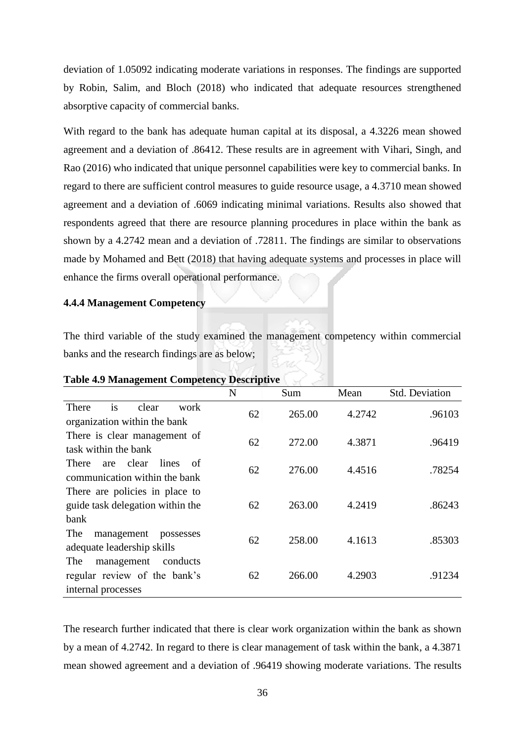deviation of 1.05092 indicating moderate variations in responses. The findings are supported by Robin, Salim, and Bloch (2018) who indicated that adequate resources strengthened absorptive capacity of commercial banks.

With regard to the bank has adequate human capital at its disposal, a 4.3226 mean showed agreement and a deviation of .86412. These results are in agreement with Vihari, Singh, and Rao (2016) who indicated that unique personnel capabilities were key to commercial banks. In regard to there are sufficient control measures to guide resource usage, a 4.3710 mean showed agreement and a deviation of .6069 indicating minimal variations. Results also showed that respondents agreed that there are resource planning procedures in place within the bank as shown by a 4.2742 mean and a deviation of .72811. The findings are similar to observations made by Mohamed and Bett (2018) that having adequate systems and processes in place will enhance the firms overall operational performance.

#### **4.4.4 Management Competency**

The third variable of the study examined the management competency within commercial banks and the research findings are as below;

|                                                                                     | N  | Sum    | Mean   | <b>Std. Deviation</b> |
|-------------------------------------------------------------------------------------|----|--------|--------|-----------------------|
| is<br>clear<br>There<br>work<br>organization within the bank                        | 62 | 265.00 | 4.2742 | .96103                |
| There is clear management of<br>task within the bank                                | 62 | 272.00 | 4.3871 | .96419                |
| clear<br>lines<br>There<br>of<br>are<br>communication within the bank               | 62 | 276.00 | 4.4516 | .78254                |
| There are policies in place to<br>guide task delegation within the<br>bank          | 62 | 263.00 | 4.2419 | .86243                |
| The<br>management<br>possesses<br>adequate leadership skills                        | 62 | 258.00 | 4.1613 | .85303                |
| The<br>management<br>conducts<br>regular review of the bank's<br>internal processes | 62 | 266.00 | 4.2903 | .91234                |

#### **Table 4.9 Management Competency Descriptive**

The research further indicated that there is clear work organization within the bank as shown by a mean of 4.2742. In regard to there is clear management of task within the bank, a 4.3871 mean showed agreement and a deviation of .96419 showing moderate variations. The results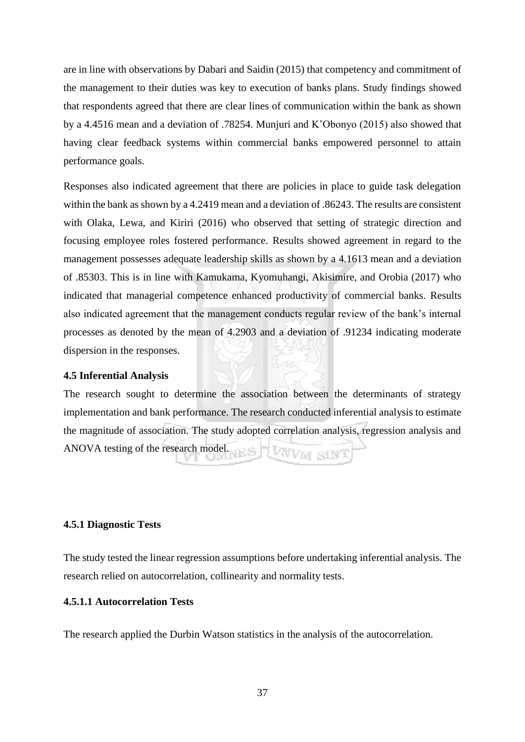are in line with observations by Dabari and Saidin (2015) that competency and commitment of the management to their duties was key to execution of banks plans. Study findings showed that respondents agreed that there are clear lines of communication within the bank as shown by a 4.4516 mean and a deviation of .78254. Munjuri and K'Obonyo (2015) also showed that having clear feedback systems within commercial banks empowered personnel to attain performance goals.

Responses also indicated agreement that there are policies in place to guide task delegation within the bank as shown by a 4.2419 mean and a deviation of .86243. The results are consistent with Olaka, Lewa, and Kiriri (2016) who observed that setting of strategic direction and focusing employee roles fostered performance. Results showed agreement in regard to the management possesses adequate leadership skills as shown by a 4.1613 mean and a deviation of .85303. This is in line with Kamukama, Kyomuhangi, Akisimire, and Orobia (2017) who indicated that managerial competence enhanced productivity of commercial banks. Results also indicated agreement that the management conducts regular review of the bank's internal processes as denoted by the mean of 4.2903 and a deviation of .91234 indicating moderate dispersion in the responses.

#### **4.5 Inferential Analysis**

The research sought to determine the association between the determinants of strategy implementation and bank performance. The research conducted inferential analysis to estimate the magnitude of association. The study adopted correlation analysis, regression analysis and ANOVA testing of the research model. VWM SIN

#### **4.5.1 Diagnostic Tests**

The study tested the linear regression assumptions before undertaking inferential analysis. The research relied on autocorrelation, collinearity and normality tests.

#### **4.5.1.1 Autocorrelation Tests**

The research applied the Durbin Watson statistics in the analysis of the autocorrelation.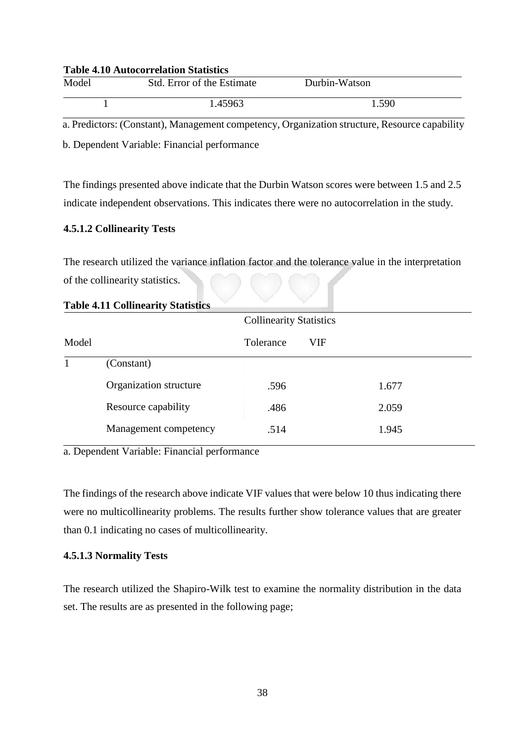#### **Table 4.10 Autocorrelation Statistics**

| Model | Std. Error of the Estimate | Durbin-Watson |  |
|-------|----------------------------|---------------|--|
|       | 1.45963                    | 1.590         |  |

a. Predictors: (Constant), Management competency, Organization structure, Resource capability

b. Dependent Variable: Financial performance

The findings presented above indicate that the Durbin Watson scores were between 1.5 and 2.5 indicate independent observations. This indicates there were no autocorrelation in the study.

## **4.5.1.2 Collinearity Tests**

The research utilized the variance inflation factor and the tolerance value in the interpretation of the collinearity statistics.

|       | Tuble 1.11 Commettly, Diumonts | <b>Collinearity Statistics</b> |     |       |  |
|-------|--------------------------------|--------------------------------|-----|-------|--|
| Model |                                | Tolerance                      | VIF |       |  |
|       | (Constant)                     |                                |     |       |  |
|       | Organization structure         | .596                           |     | 1.677 |  |
|       | Resource capability            | .486                           |     | 2.059 |  |
|       | Management competency          | .514                           |     | 1.945 |  |
|       |                                |                                |     |       |  |

**Table 4.11 Collinearity Statistics** 

a. Dependent Variable: Financial performance

The findings of the research above indicate VIF values that were below 10 thus indicating there were no multicollinearity problems. The results further show tolerance values that are greater than 0.1 indicating no cases of multicollinearity.

## **4.5.1.3 Normality Tests**

The research utilized the Shapiro-Wilk test to examine the normality distribution in the data set. The results are as presented in the following page;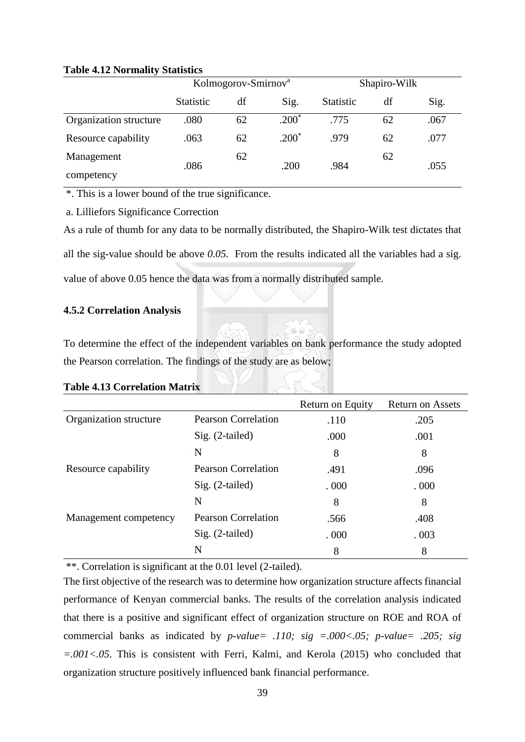## **Table 4.12 Normality Statistics**

| $\cdot$                | Kolmogorov-Smirnov <sup>a</sup> |    | Shapiro-Wilk |           |    |      |
|------------------------|---------------------------------|----|--------------|-----------|----|------|
|                        | <b>Statistic</b>                | df | Sig.         | Statistic | df | Sig. |
| Organization structure | .080                            | 62 | $.200*$      | .775      | 62 | .067 |
| Resource capability    | .063                            | 62 | $.200*$      | .979      | 62 | .077 |
| Management             | .086                            | 62 | .200         | .984      | 62 | .055 |
| competency             |                                 |    |              |           |    |      |

\*. This is a lower bound of the true significance.

a. Lilliefors Significance Correction

As a rule of thumb for any data to be normally distributed, the Shapiro-Wilk test dictates that all the sig-value should be above *0.05.* From the results indicated all the variables had a sig. value of above 0.05 hence the data was from a normally distributed sample.

## **4.5.2 Correlation Analysis**

To determine the effect of the independent variables on bank performance the study adopted the Pearson correlation. The findings of the study are as below;

|  | <b>Table 4.13 Correlation Matrix</b> |
|--|--------------------------------------|
|--|--------------------------------------|

|                        |                            | Return on Equity | <b>Return on Assets</b> |
|------------------------|----------------------------|------------------|-------------------------|
| Organization structure | <b>Pearson Correlation</b> | .110             | .205                    |
|                        | $Sig. (2-tailed)$          | .000             | .001                    |
|                        | N                          | 8                | 8                       |
| Resource capability    | <b>Pearson Correlation</b> | .491             | .096                    |
|                        | $Sig. (2-tailed)$          | .000.            | .000.                   |
|                        | N                          | 8                | 8                       |
| Management competency  | <b>Pearson Correlation</b> | .566             | .408                    |
|                        | $Sig. (2-tailed)$          | .000.            | .003                    |
|                        | N                          | 8                | 8                       |

\*\*. Correlation is significant at the 0.01 level (2-tailed).

The first objective of the research was to determine how organization structure affects financial performance of Kenyan commercial banks. The results of the correlation analysis indicated that there is a positive and significant effect of organization structure on ROE and ROA of commercial banks as indicated by *p-value= .110; sig =.000<.05; p-value= .205; sig =.001<.05*. This is consistent with Ferri, Kalmi, and Kerola (2015) who concluded that organization structure positively influenced bank financial performance.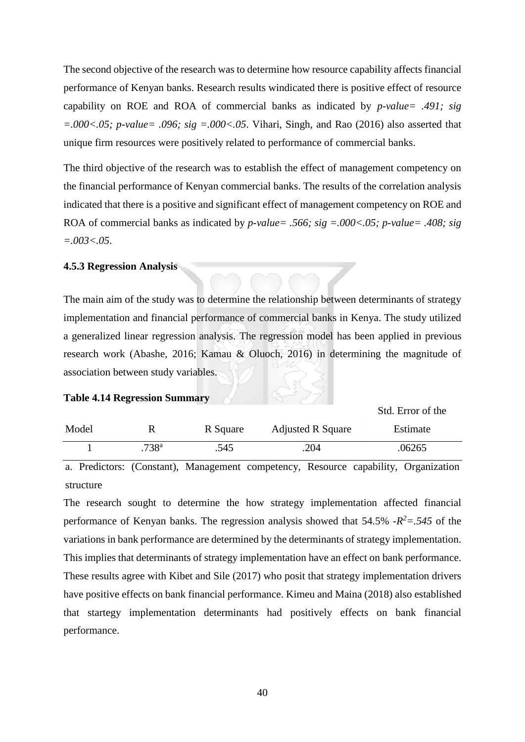The second objective of the research was to determine how resource capability affects financial performance of Kenyan banks. Research results windicated there is positive effect of resource capability on ROE and ROA of commercial banks as indicated by *p-value= .491; sig =.000<.05; p-value= .096; sig =.000<.05*. Vihari, Singh, and Rao (2016) also asserted that unique firm resources were positively related to performance of commercial banks.

The third objective of the research was to establish the effect of management competency on the financial performance of Kenyan commercial banks. The results of the correlation analysis indicated that there is a positive and significant effect of management competency on ROE and ROA of commercial banks as indicated by *p-value= .566; sig =.000<.05; p-value= .408; sig =.003<.05*.

#### **4.5.3 Regression Analysis**

The main aim of the study was to determine the relationship between determinants of strategy implementation and financial performance of commercial banks in Kenya. The study utilized a generalized linear regression analysis. The regression model has been applied in previous research work (Abashe, 2016; Kamau & Oluoch, 2016) in determining the magnitude of association between study variables.

#### **Table 4.14 Regression Summary**

| Model |                   | R Square | <b>Adjusted R Square</b> | Estimate |
|-------|-------------------|----------|--------------------------|----------|
|       | .738 <sup>a</sup> | .545     | .204                     | .06265   |

Std. Error of the

a. Predictors: (Constant), Management competency, Resource capability, Organization structure

The research sought to determine the how strategy implementation affected financial performance of Kenyan banks. The regression analysis showed that  $54.5\%$   $-R^2 = .545$  of the variations in bank performance are determined by the determinants of strategy implementation. This implies that determinants of strategy implementation have an effect on bank performance. These results agree with Kibet and Sile (2017) who posit that strategy implementation drivers have positive effects on bank financial performance. Kimeu and Maina (2018) also established that startegy implementation determinants had positively effects on bank financial performance.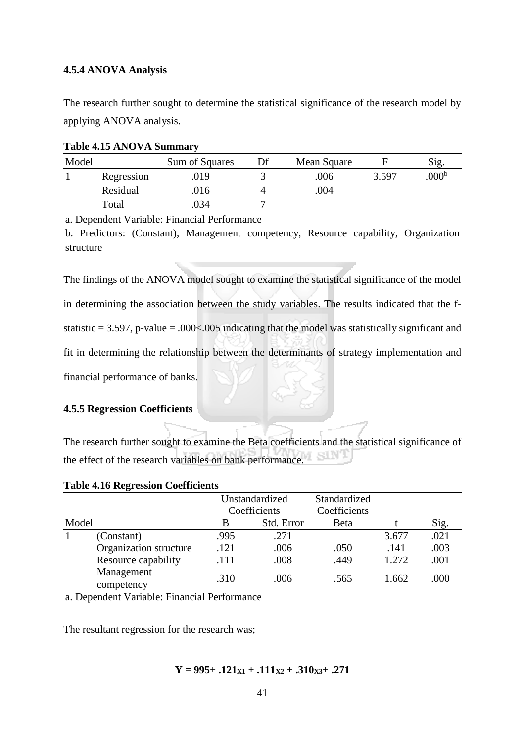#### **4.5.4 ANOVA Analysis**

The research further sought to determine the statistical significance of the research model by applying ANOVA analysis.

| Model |            | Sum of Squares | Mean Square |       | Sig.              |
|-------|------------|----------------|-------------|-------|-------------------|
|       | Regression | .019           | .006        | 3.597 | .000 <sup>b</sup> |
|       | Residual   | .016           | .004        |       |                   |
|       | Total      | .034           |             |       |                   |

#### **Table 4.15 ANOVA Summary**

a. Dependent Variable: Financial Performance

b. Predictors: (Constant), Management competency, Resource capability, Organization structure

The findings of the ANOVA model sought to examine the statistical significance of the model in determining the association between the study variables. The results indicated that the fstatistic  $= 3.597$ , p-value  $= .000< .005$  indicating that the model was statistically significant and fit in determining the relationship between the determinants of strategy implementation and financial performance of banks.

#### **4.5.5 Regression Coefficients**

The research further sought to examine the Beta coefficients and the statistical significance of the effect of the research variables on bank performance.

| <b>Table 4.16 Regression Coefficients</b> |  |  |  |
|-------------------------------------------|--|--|--|
|-------------------------------------------|--|--|--|

|       |                          |              | Unstandardized | Standardized |       |      |
|-------|--------------------------|--------------|----------------|--------------|-------|------|
|       |                          | Coefficients |                | Coefficients |       |      |
| Model |                          | В            | Std. Error     | Beta         |       | Sig. |
|       | (Constant)               | .995         | .271           |              | 3.677 | .021 |
|       | Organization structure   | .121         | .006           | .050         | .141  | .003 |
|       | Resource capability      | .111         | .008           | .449         | 1.272 | .001 |
|       | Management<br>competency | .310         | .006           | .565         | 1.662 | .000 |

a. Dependent Variable: Financial Performance

The resultant regression for the research was;

## $Y = 995 + .121_{X1} + .111_{X2} + .310_{X3} + .271$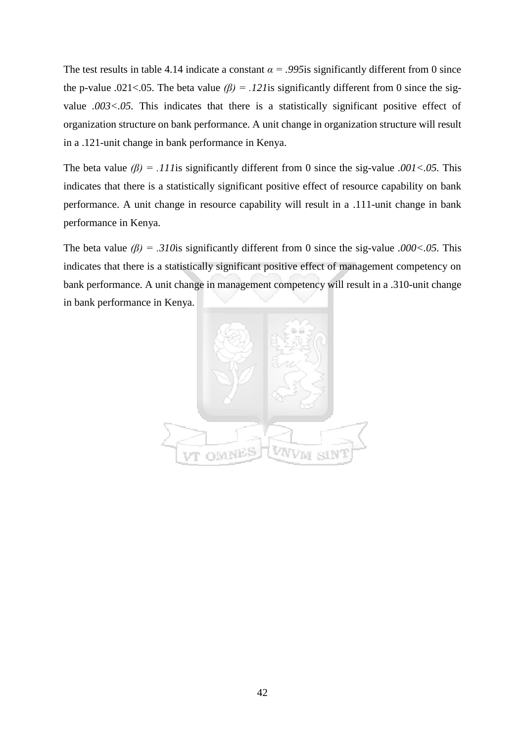The test results in table 4.14 indicate a constant  $\alpha$  = .995 is significantly different from 0 since the p-value .021<.05. The beta value  $(\beta) = .121$  is significantly different from 0 since the sigvalue *.003<.05.* This indicates that there is a statistically significant positive effect of organization structure on bank performance. A unit change in organization structure will result in a .121-unit change in bank performance in Kenya.

The beta value *(β) = .111*is significantly different from 0 since the sig-value *.001<.05.* This indicates that there is a statistically significant positive effect of resource capability on bank performance. A unit change in resource capability will result in a .111-unit change in bank performance in Kenya.

The beta value *(β) = .310*is significantly different from 0 since the sig-value *.000<.05.* This indicates that there is a statistically significant positive effect of management competency on bank performance. A unit change in management competency will result in a .310-unit change in bank performance in Kenya.

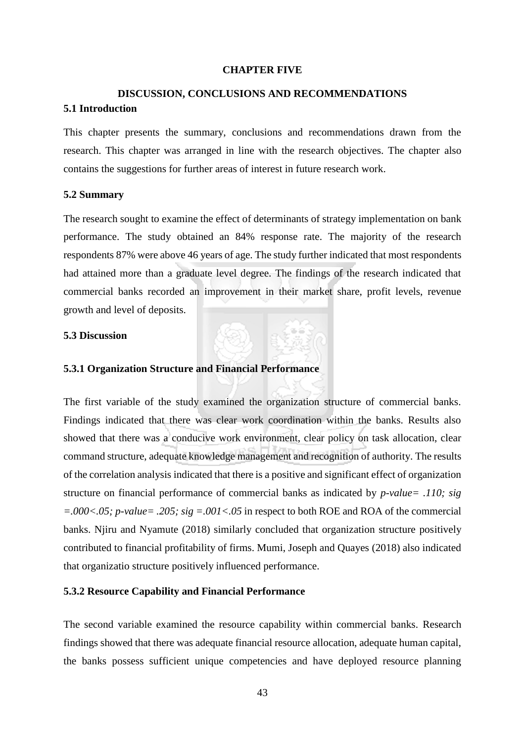#### **CHAPTER FIVE**

## **DISCUSSION, CONCLUSIONS AND RECOMMENDATIONS 5.1 Introduction**

This chapter presents the summary, conclusions and recommendations drawn from the research. This chapter was arranged in line with the research objectives. The chapter also contains the suggestions for further areas of interest in future research work.

#### **5.2 Summary**

The research sought to examine the effect of determinants of strategy implementation on bank performance. The study obtained an 84% response rate. The majority of the research respondents 87% were above 46 years of age. The study further indicated that most respondents had attained more than a graduate level degree. The findings of the research indicated that commercial banks recorded an improvement in their market share, profit levels, revenue growth and level of deposits.

## **5.3 Discussion**

#### **5.3.1 Organization Structure and Financial Performance**

The first variable of the study examined the organization structure of commercial banks. Findings indicated that there was clear work coordination within the banks. Results also showed that there was a conducive work environment, clear policy on task allocation, clear command structure, adequate knowledge management and recognition of authority. The results of the correlation analysis indicated that there is a positive and significant effect of organization structure on financial performance of commercial banks as indicated by *p-value= .110; sig =.000<.05; p-value= .205; sig =.001<.05* in respect to both ROE and ROA of the commercial banks. Njiru and Nyamute (2018) similarly concluded that organization structure positively contributed to financial profitability of firms. Mumi, Joseph and Quayes (2018) also indicated that organizatio structure positively influenced performance.

#### **5.3.2 Resource Capability and Financial Performance**

The second variable examined the resource capability within commercial banks. Research findings showed that there was adequate financial resource allocation, adequate human capital, the banks possess sufficient unique competencies and have deployed resource planning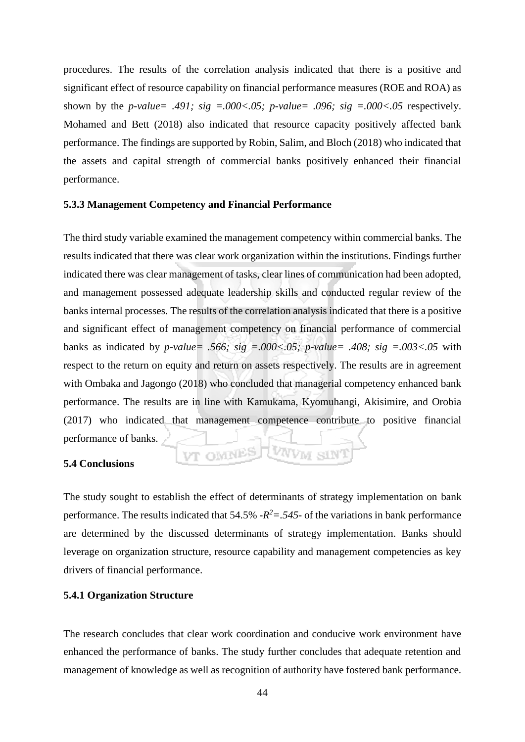procedures. The results of the correlation analysis indicated that there is a positive and significant effect of resource capability on financial performance measures (ROE and ROA) as shown by the *p-value* = .491; sig =.000<.05; *p-value* = .096; sig =.000<.05 respectively. Mohamed and Bett (2018) also indicated that resource capacity positively affected bank performance. The findings are supported by Robin, Salim, and Bloch (2018) who indicated that the assets and capital strength of commercial banks positively enhanced their financial performance.

#### **5.3.3 Management Competency and Financial Performance**

The third study variable examined the management competency within commercial banks. The results indicated that there was clear work organization within the institutions. Findings further indicated there was clear management of tasks, clear lines of communication had been adopted, and management possessed adequate leadership skills and conducted regular review of the banks internal processes. The results of the correlation analysis indicated that there is a positive and significant effect of management competency on financial performance of commercial banks as indicated by *p-value= .566; sig =.000<.05; p-value= .408; sig =.003<.05* with respect to the return on equity and return on assets respectively. The results are in agreement with Ombaka and Jagongo (2018) who concluded that managerial competency enhanced bank performance. The results are in line with Kamukama, Kyomuhangi, Akisimire, and Orobia (2017) who indicated that management competence contribute to positive financial performance of banks. VT OMNES LUNVM SIN

## **5.4 Conclusions**

The study sought to establish the effect of determinants of strategy implementation on bank performance. The results indicated that  $54.5\%$   $-R^2 = .545$ - of the variations in bank performance are determined by the discussed determinants of strategy implementation. Banks should leverage on organization structure, resource capability and management competencies as key drivers of financial performance.

#### **5.4.1 Organization Structure**

The research concludes that clear work coordination and conducive work environment have enhanced the performance of banks. The study further concludes that adequate retention and management of knowledge as well as recognition of authority have fostered bank performance.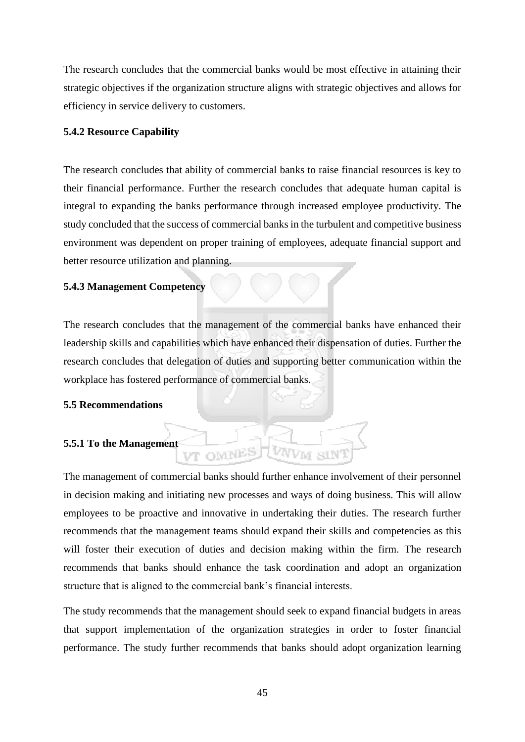The research concludes that the commercial banks would be most effective in attaining their strategic objectives if the organization structure aligns with strategic objectives and allows for efficiency in service delivery to customers.

#### **5.4.2 Resource Capability**

The research concludes that ability of commercial banks to raise financial resources is key to their financial performance. Further the research concludes that adequate human capital is integral to expanding the banks performance through increased employee productivity. The study concluded that the success of commercial banks in the turbulent and competitive business environment was dependent on proper training of employees, adequate financial support and better resource utilization and planning.

#### **5.4.3 Management Competency**

The research concludes that the management of the commercial banks have enhanced their leadership skills and capabilities which have enhanced their dispensation of duties. Further the research concludes that delegation of duties and supporting better communication within the workplace has fostered performance of commercial banks.

#### **5.5 Recommendations**

## **5.5.1 To the Management**

The management of commercial banks should further enhance involvement of their personnel in decision making and initiating new processes and ways of doing business. This will allow employees to be proactive and innovative in undertaking their duties. The research further recommends that the management teams should expand their skills and competencies as this will foster their execution of duties and decision making within the firm. The research recommends that banks should enhance the task coordination and adopt an organization structure that is aligned to the commercial bank's financial interests.

VT OMNES

The study recommends that the management should seek to expand financial budgets in areas that support implementation of the organization strategies in order to foster financial performance. The study further recommends that banks should adopt organization learning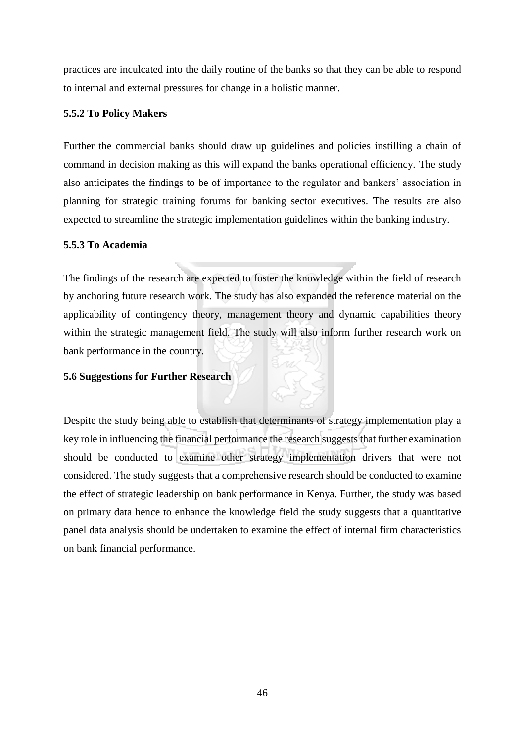practices are inculcated into the daily routine of the banks so that they can be able to respond to internal and external pressures for change in a holistic manner.

## **5.5.2 To Policy Makers**

Further the commercial banks should draw up guidelines and policies instilling a chain of command in decision making as this will expand the banks operational efficiency. The study also anticipates the findings to be of importance to the regulator and bankers' association in planning for strategic training forums for banking sector executives. The results are also expected to streamline the strategic implementation guidelines within the banking industry.

## **5.5.3 To Academia**

The findings of the research are expected to foster the knowledge within the field of research by anchoring future research work. The study has also expanded the reference material on the applicability of contingency theory, management theory and dynamic capabilities theory within the strategic management field. The study will also inform further research work on bank performance in the country.

## **5.6 Suggestions for Further Research**

Despite the study being able to establish that determinants of strategy implementation play a key role in influencing the financial performance the research suggests that further examination should be conducted to examine other strategy implementation drivers that were not considered. The study suggests that a comprehensive research should be conducted to examine the effect of strategic leadership on bank performance in Kenya. Further, the study was based on primary data hence to enhance the knowledge field the study suggests that a quantitative panel data analysis should be undertaken to examine the effect of internal firm characteristics on bank financial performance.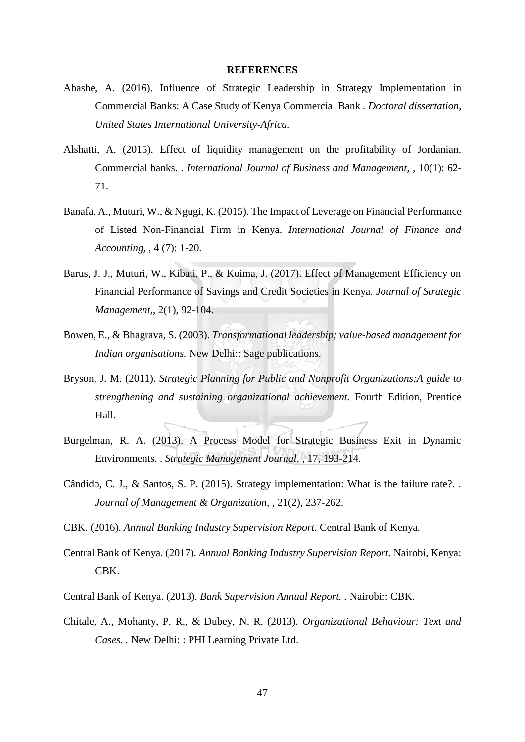#### **REFERENCES**

- Abashe, A. (2016). Influence of Strategic Leadership in Strategy Implementation in Commercial Banks: A Case Study of Kenya Commercial Bank . *Doctoral dissertation, United States International University-Africa*.
- Alshatti, A. (2015). Effect of liquidity management on the profitability of Jordanian. Commercial banks. . *International Journal of Business and Management,* , 10(1): 62- 71.
- Banafa, A., Muturi, W., & Ngugi, K. (2015). The Impact of Leverage on Financial Performance of Listed Non-Financial Firm in Kenya. *International Journal of Finance and Accounting,* , 4 (7): 1-20.
- Barus, J. J., Muturi, W., Kibati, P., & Koima, J. (2017). Effect of Management Efficiency on Financial Performance of Savings and Credit Societies in Kenya. *Journal of Strategic Management,*, 2(1), 92-104.
- Bowen, E., & Bhagrava, S. (2003). *Transformational leadership; value-based management for Indian organisations.* New Delhi:: Sage publications.
- Bryson, J. M. (2011). *Strategic Planning for Public and Nonprofit Organizations;A guide to strengthening and sustaining organizational achievement.* Fourth Edition, Prentice Hall.
- Burgelman, R. A. (2013). A Process Model for Strategic Business Exit in Dynamic Environments. . *Strategic Management Journal,* , 17, 193-214.
- Cândido, C. J., & Santos, S. P. (2015). Strategy implementation: What is the failure rate?. . *Journal of Management & Organization,* , 21(2), 237-262.
- CBK. (2016). *Annual Banking Industry Supervision Report.* Central Bank of Kenya.
- Central Bank of Kenya. (2017). *Annual Banking Industry Supervision Report.* Nairobi, Kenya: CBK.
- Central Bank of Kenya. (2013). *Bank Supervision Annual Report. .* Nairobi:: CBK.
- Chitale, A., Mohanty, P. R., & Dubey, N. R. (2013). *Organizational Behaviour: Text and Cases. .* New Delhi: : PHI Learning Private Ltd.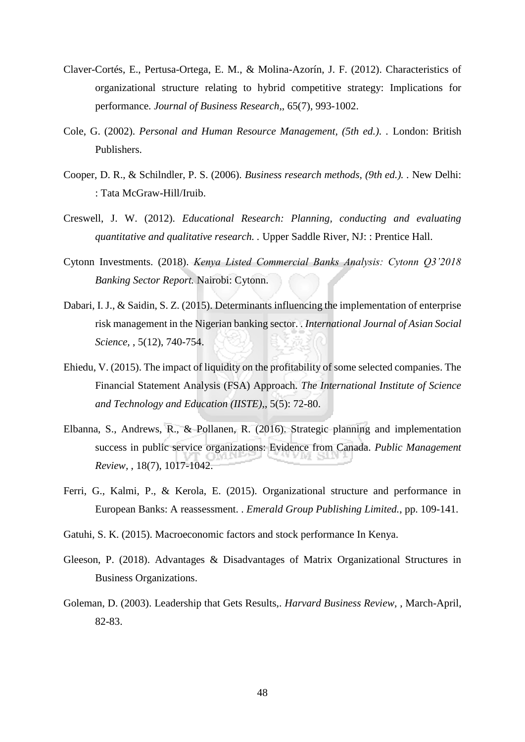- Claver-Cortés, E., Pertusa-Ortega, E. M., & Molina-Azorín, J. F. (2012). Characteristics of organizational structure relating to hybrid competitive strategy: Implications for performance. *Journal of Business Research,*, 65(7), 993-1002.
- Cole, G. (2002). *Personal and Human Resource Management, (5th ed.). .* London: British Publishers.
- Cooper, D. R., & Schilndler, P. S. (2006). *Business research methods, (9th ed.). .* New Delhi: : Tata McGraw-Hill/Iruib.
- Creswell, J. W. (2012). *Educational Research: Planning, conducting and evaluating quantitative and qualitative research. .* Upper Saddle River, NJ: : Prentice Hall.
- Cytonn Investments. (2018). *Kenya Listed Commercial Banks Analysis: Cytonn Q3'2018 Banking Sector Report.* Nairobi: Cytonn.
- Dabari, I. J., & Saidin, S. Z. (2015). Determinants influencing the implementation of enterprise risk management in the Nigerian banking sector. . *International Journal of Asian Social Science,* , 5(12), 740-754.
- Ehiedu, V. (2015). The impact of liquidity on the profitability of some selected companies. The Financial Statement Analysis (FSA) Approach. *The International Institute of Science and Technology and Education (IISTE),*, 5(5): 72-80.
- Elbanna, S., Andrews, R., & Pollanen, R. (2016). Strategic planning and implementation success in public service organizations: Evidence from Canada. *Public Management Review,* , 18(7), 1017-1042.
- Ferri, G., Kalmi, P., & Kerola, E. (2015). Organizational structure and performance in European Banks: A reassessment. . *Emerald Group Publishing Limited.*, pp. 109-141.
- Gatuhi, S. K. (2015). Macroeconomic factors and stock performance In Kenya.
- Gleeson, P. (2018). Advantages & Disadvantages of Matrix Organizational Structures in Business Organizations.
- Goleman, D. (2003). Leadership that Gets Results,. *Harvard Business Review,* , March-April, 82-83.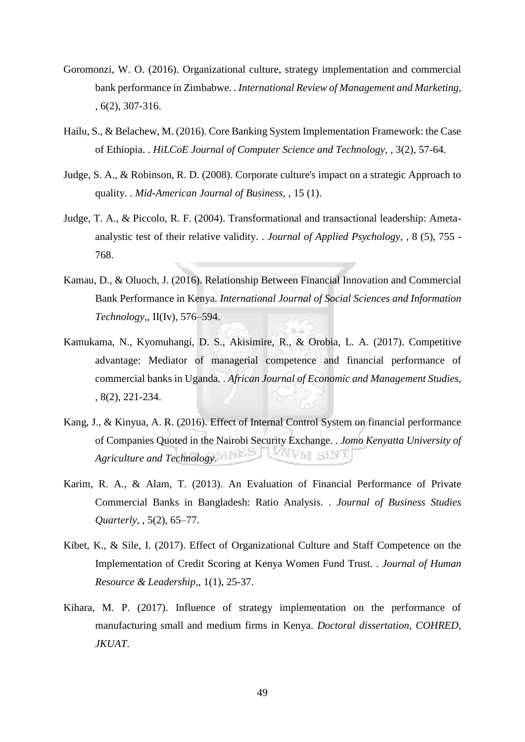- Goromonzi, W. O. (2016). Organizational culture, strategy implementation and commercial bank performance in Zimbabwe. . *International Review of Management and Marketing,*  , 6(2), 307-316.
- Hailu, S., & Belachew, M. (2016). Core Banking System Implementation Framework: the Case of Ethiopia. . *HiLCoE Journal of Computer Science and Technology,* , 3(2), 57-64.
- Judge, S. A., & Robinson, R. D. (2008). Corporate culture's impact on a strategic Approach to quality. . *Mid-American Journal of Business,* , 15 (1).
- Judge, T. A., & Piccolo, R. F. (2004). Transformational and transactional leadership: Ametaanalystic test of their relative validity. . *Journal of Applied Psychology,* , 8 (5), 755 - 768.
- Kamau, D., & Oluoch, J. (2016). Relationship Between Financial Innovation and Commercial Bank Performance in Kenya. *International Journal of Social Sciences and Information Technology,*, II(Iv), 576–594.
- Kamukama, N., Kyomuhangi, D. S., Akisimire, R., & Orobia, L. A. (2017). Competitive advantage: Mediator of managerial competence and financial performance of commercial banks in Uganda. . *African Journal of Economic and Management Studies,*  , 8(2), 221-234.
- Kang, J., & Kinyua, A. R. (2016). Effect of Internal Control System on financial performance of Companies Quoted in the Nairobi Security Exchange. . *Jomo Kenyatta University of Agriculture and Technology*. VWM SINT
- Karim, R. A., & Alam, T. (2013). An Evaluation of Financial Performance of Private Commercial Banks in Bangladesh: Ratio Analysis. . *Journal of Business Studies Quarterly,* , 5(2), 65–77.
- Kibet, K., & Sile, I. (2017). Effect of Organizational Culture and Staff Competence on the Implementation of Credit Scoring at Kenya Women Fund Trust. . *Journal of Human Resource & Leadership,*, 1(1), 25-37.
- Kihara, M. P. (2017). Influence of strategy implementation on the performance of manufacturing small and medium firms in Kenya. *Doctoral dissertation, COHRED, JKUAT*.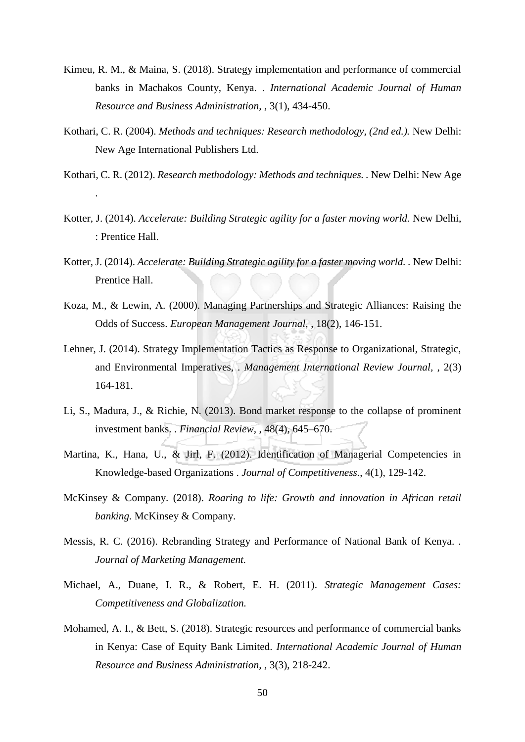- Kimeu, R. M., & Maina, S. (2018). Strategy implementation and performance of commercial banks in Machakos County, Kenya. . *International Academic Journal of Human Resource and Business Administration,* , 3(1), 434-450.
- Kothari, C. R. (2004). *Methods and techniques: Research methodology, (2nd ed.).* New Delhi: New Age International Publishers Ltd.
- Kothari, C. R. (2012). *Research methodology: Methods and techniques. .* New Delhi: New Age

.

- Kotter, J. (2014). *Accelerate: Building Strategic agility for a faster moving world.* New Delhi, : Prentice Hall.
- Kotter, J. (2014). *Accelerate: Building Strategic agility for a faster moving world. .* New Delhi: Prentice Hall.
- Koza, M., & Lewin, A. (2000). Managing Partnerships and Strategic Alliances: Raising the Odds of Success. *European Management Journal,* , 18(2), 146-151.
- Lehner, J. (2014). Strategy Implementation Tactics as Response to Organizational, Strategic, and Environmental Imperatives, . *Management International Review Journal,* , 2(3) 164-181.
- Li, S., Madura, J., & Richie, N. (2013). Bond market response to the collapse of prominent investment banks. . *Financial Review,* , 48(4), 645–670.
- Martina, K., Hana, U., & Jirl, F. (2012). Identification of Managerial Competencies in Knowledge-based Organizations . *Journal of Competitiveness.*, 4(1), 129-142.
- McKinsey & Company. (2018). *Roaring to life: Growth and innovation in African retail banking.* McKinsey & Company.
- Messis, R. C. (2016). Rebranding Strategy and Performance of National Bank of Kenya. . *Journal of Marketing Management.*
- Michael, A., Duane, I. R., & Robert, E. H. (2011). *Strategic Management Cases: Competitiveness and Globalization.*
- Mohamed, A. I., & Bett, S. (2018). Strategic resources and performance of commercial banks in Kenya: Case of Equity Bank Limited. *International Academic Journal of Human Resource and Business Administration,* , 3(3), 218-242.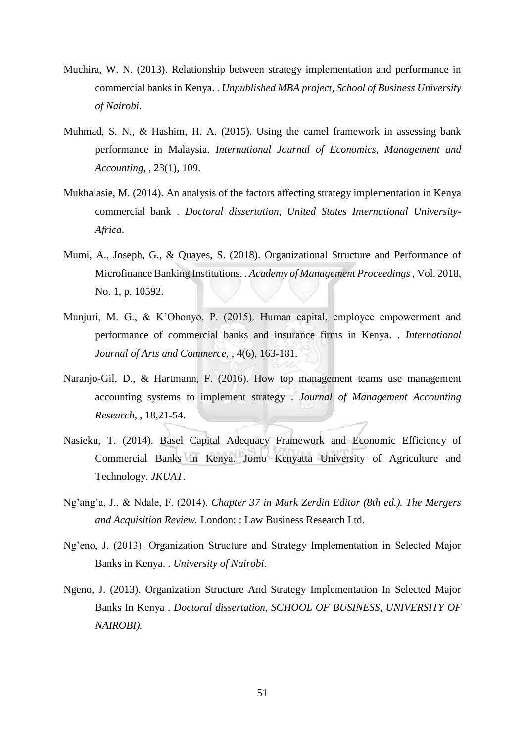- Muchira, W. N. (2013). Relationship between strategy implementation and performance in commercial banks in Kenya. . *Unpublished MBA project, School of Business University of Nairobi.*
- Muhmad, S. N., & Hashim, H. A. (2015). Using the camel framework in assessing bank performance in Malaysia. *International Journal of Economics, Management and Accounting*, , 23(1), 109.
- Mukhalasie, M. (2014). An analysis of the factors affecting strategy implementation in Kenya commercial bank . *Doctoral dissertation, United States International University-Africa*.
- Mumi, A., Joseph, G., & Quayes, S. (2018). Organizational Structure and Performance of Microfinance Banking Institutions. . *Academy of Management Proceedings* , Vol. 2018, No. 1, p. 10592.
- Munjuri, M. G., & K'Obonyo, P. (2015). Human capital, employee empowerment and performance of commercial banks and insurance firms in Kenya. . *International Journal of Arts and Commerce,* , 4(6), 163-181.
- Naranjo-Gil, D., & Hartmann, F. (2016). How top management teams use management accounting systems to implement strategy . *Journal of Management Accounting Research,* , 18,21-54.
- Nasieku, T. (2014). Basel Capital Adequacy Framework and Economic Efficiency of Commercial Banks in Kenya. Jomo Kenyatta University of Agriculture and Technology. *JKUAT*.
- Ng'ang'a, J., & Ndale, F. (2014). *Chapter 37 in Mark Zerdin Editor (8th ed.). The Mergers and Acquisition Review.* London: : Law Business Research Ltd.
- Ng'eno, J. (2013). Organization Structure and Strategy Implementation in Selected Major Banks in Kenya. . *University of Nairobi*.
- Ngeno, J. (2013). Organization Structure And Strategy Implementation In Selected Major Banks In Kenya . *Doctoral dissertation, SCHOOL OF BUSINESS, UNIVERSITY OF NAIROBI).*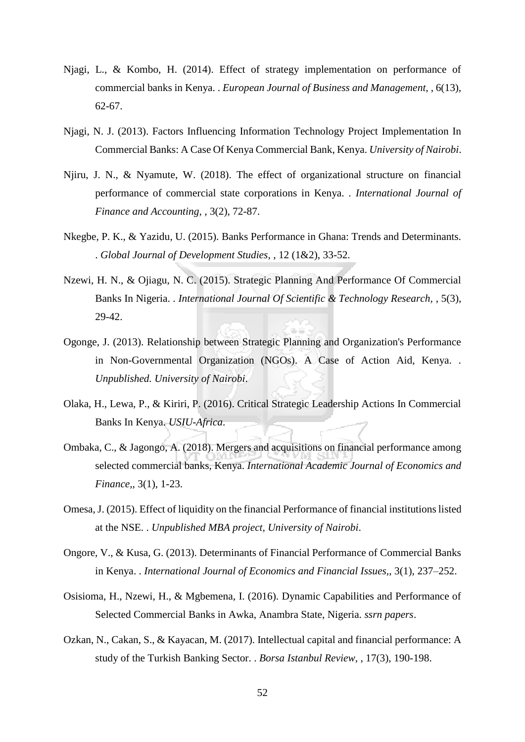- Njagi, L., & Kombo, H. (2014). Effect of strategy implementation on performance of commercial banks in Kenya. . *European Journal of Business and Management,* , 6(13), 62-67.
- Njagi, N. J. (2013). Factors Influencing Information Technology Project Implementation In Commercial Banks: A Case Of Kenya Commercial Bank, Kenya. *University of Nairobi*.
- Njiru, J. N., & Nyamute, W. (2018). The effect of organizational structure on financial performance of commercial state corporations in Kenya. . *International Journal of Finance and Accounting,* , 3(2), 72-87.
- Nkegbe, P. K., & Yazidu, U. (2015). Banks Performance in Ghana: Trends and Determinants. . *Global Journal of Development Studies,* , 12 (1&2), 33-52.
- Nzewi, H. N., & Ojiagu, N. C. (2015). Strategic Planning And Performance Of Commercial Banks In Nigeria. . *International Journal Of Scientific & Technology Research,* , 5(3), 29-42.
- Ogonge, J. (2013). Relationship between Strategic Planning and Organization's Performance in Non-Governmental Organization (NGOs). A Case of Action Aid, Kenya. . *Unpublished. University of Nairobi*.
- Olaka, H., Lewa, P., & Kiriri, P. (2016). Critical Strategic Leadership Actions In Commercial Banks In Kenya. *USIU-Africa*.
- Ombaka, C., & Jagongo, A. (2018). Mergers and acquisitions on financial performance among selected commercial banks, Kenya. *International Academic Journal of Economics and Finance,*, 3(1), 1-23.
- Omesa, J. (2015). Effect of liquidity on the financial Performance of financial institutions listed at the NSE. . *Unpublished MBA project, University of Nairobi*.
- Ongore, V., & Kusa, G. (2013). Determinants of Financial Performance of Commercial Banks in Kenya. . *International Journal of Economics and Financial Issues,*, 3(1), 237–252.
- Osisioma, H., Nzewi, H., & Mgbemena, I. (2016). Dynamic Capabilities and Performance of Selected Commercial Banks in Awka, Anambra State, Nigeria. *ssrn papers*.
- Ozkan, N., Cakan, S., & Kayacan, M. (2017). Intellectual capital and financial performance: A study of the Turkish Banking Sector. . *Borsa Istanbul Review,* , 17(3), 190-198.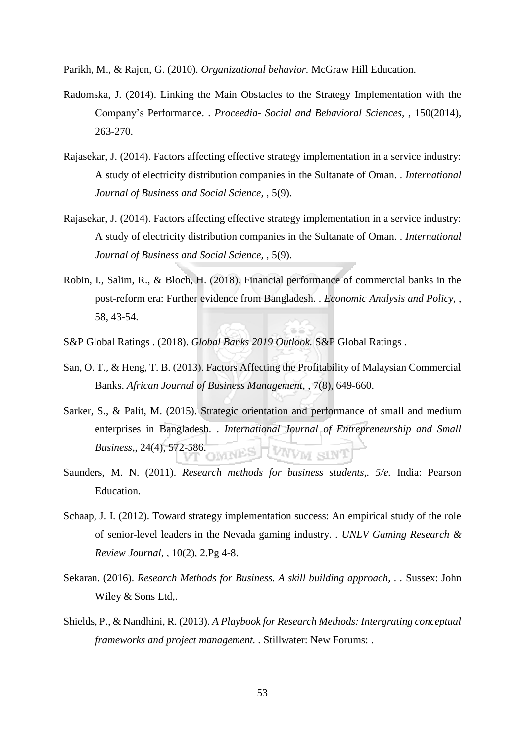Parikh, M., & Rajen, G. (2010). *Organizational behavior.* McGraw Hill Education.

- Radomska, J. (2014). Linking the Main Obstacles to the Strategy Implementation with the Company's Performance. . *Proceedia- Social and Behavioral Sciences,* , 150(2014), 263-270.
- Rajasekar, J. (2014). Factors affecting effective strategy implementation in a service industry: A study of electricity distribution companies in the Sultanate of Oman. . *International Journal of Business and Social Science,* , 5(9).
- Rajasekar, J. (2014). Factors affecting effective strategy implementation in a service industry: A study of electricity distribution companies in the Sultanate of Oman. . *International Journal of Business and Social Science,* , 5(9).
- Robin, I., Salim, R., & Bloch, H. (2018). Financial performance of commercial banks in the post-reform era: Further evidence from Bangladesh. . *Economic Analysis and Policy,* , 58, 43-54.
- S&P Global Ratings . (2018). *Global Banks 2019 Outlook.* S&P Global Ratings .
- San, O. T., & Heng, T. B. (2013). Factors Affecting the Profitability of Malaysian Commercial Banks. *African Journal of Business Management,* , 7(8), 649-660.
- Sarker, S., & Palit, M. (2015). Strategic orientation and performance of small and medium enterprises in Bangladesh. . *International Journal of Entrepreneurship and Small Business,*, 24(4), 572-586.
- Saunders, M. N. (2011). *Research methods for business students,. 5/e.* India: Pearson Education.
- Schaap, J. I. (2012). Toward strategy implementation success: An empirical study of the role of senior-level leaders in the Nevada gaming industry. . *UNLV Gaming Research & Review Journal,* , 10(2), 2.Pg 4-8.
- Sekaran. (2016). *Research Methods for Business. A skill building approach, . .* Sussex: John Wiley & Sons Ltd,.
- Shields, P., & Nandhini, R. (2013). *A Playbook for Research Methods: Intergrating conceptual frameworks and project management. .* Stillwater: New Forums: .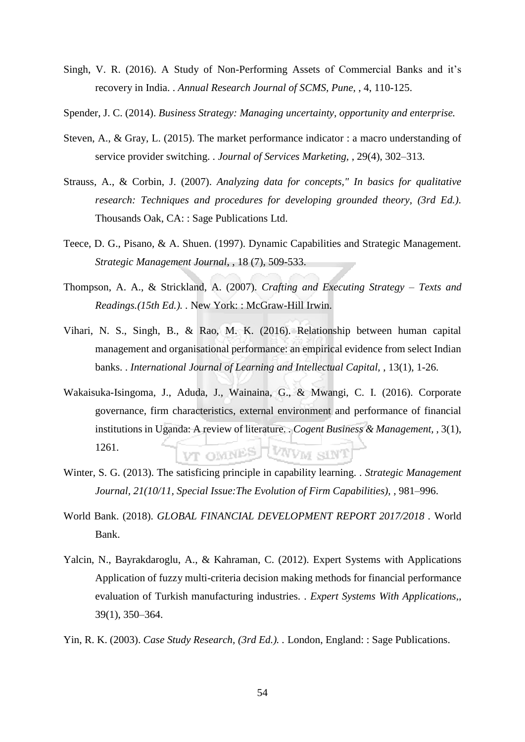- Singh, V. R. (2016). A Study of Non-Performing Assets of Commercial Banks and it's recovery in India. . *Annual Research Journal of SCMS, Pune,* , 4, 110-125.
- Spender, J. C. (2014). *Business Strategy: Managing uncertainty, opportunity and enterprise.*
- Steven, A., & Gray, L. (2015). The market performance indicator : a macro understanding of service provider switching. . *Journal of Services Marketing,* , 29(4), 302–313.
- Strauss, A., & Corbin, J. (2007). *Analyzing data for concepts," In basics for qualitative research: Techniques and procedures for developing grounded theory, (3rd Ed.).* Thousands Oak, CA: : Sage Publications Ltd.
- Teece, D. G., Pisano, & A. Shuen. (1997). Dynamic Capabilities and Strategic Management. *Strategic Management Journal*, , 18 (7), 509-533.
- Thompson, A. A., & Strickland, A. (2007). *Crafting and Executing Strategy Texts and Readings.(15th Ed.). .* New York: : McGraw-Hill Irwin.
- Vihari, N. S., Singh, B., & Rao, M. K. (2016). Relationship between human capital management and organisational performance: an empirical evidence from select Indian banks. . *International Journal of Learning and Intellectual Capital,* , 13(1), 1-26.
- Wakaisuka-Isingoma, J., Aduda, J., Wainaina, G., & Mwangi, C. I. (2016). Corporate governance, firm characteristics, external environment and performance of financial institutions in Uganda: A review of literature. . *Cogent Business & Management,* , 3(1), 1261. VT OMNES LVNVM SINT
- Winter, S. G. (2013). The satisficing principle in capability learning. . *Strategic Management Journal, 21(10/11, Special Issue:The Evolution of Firm Capabilities),* , 981–996.
- World Bank. (2018). *GLOBAL FINANCIAL DEVELOPMENT REPORT 2017/2018 .* World Bank.
- Yalcin, N., Bayrakdaroglu, A., & Kahraman, C. (2012). Expert Systems with Applications Application of fuzzy multi-criteria decision making methods for financial performance evaluation of Turkish manufacturing industries. . *Expert Systems With Applications,*, 39(1), 350–364.
- Yin, R. K. (2003). *Case Study Research, (3rd Ed.). .* London, England: : Sage Publications.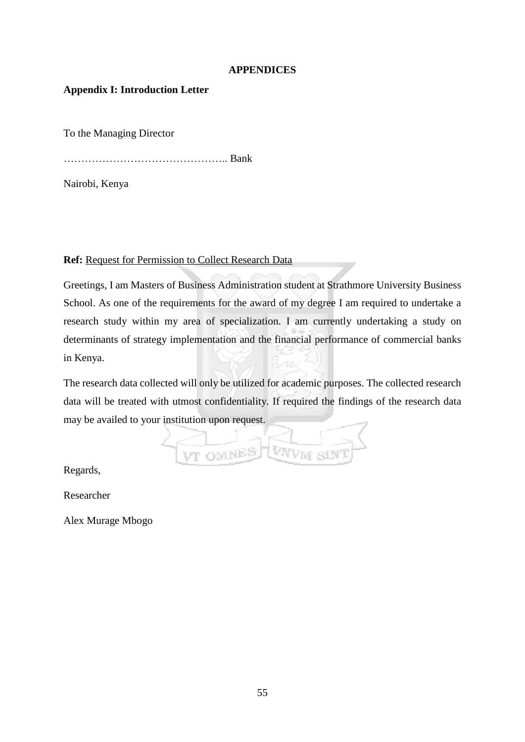## **APPENDICES**

## **Appendix I: Introduction Letter**

To the Managing Director

……………………………………….. Bank

Nairobi, Kenya

**Ref:** Request for Permission to Collect Research Data

Greetings, I am Masters of Business Administration student at Strathmore University Business School. As one of the requirements for the award of my degree I am required to undertake a research study within my area of specialization. I am currently undertaking a study on determinants of strategy implementation and the financial performance of commercial banks in Kenya.

The research data collected will only be utilized for academic purposes. The collected research data will be treated with utmost confidentiality. If required the findings of the research data may be availed to your institution upon request.

WWW SIN VT OMNES

Regards,

Researcher

Alex Murage Mbogo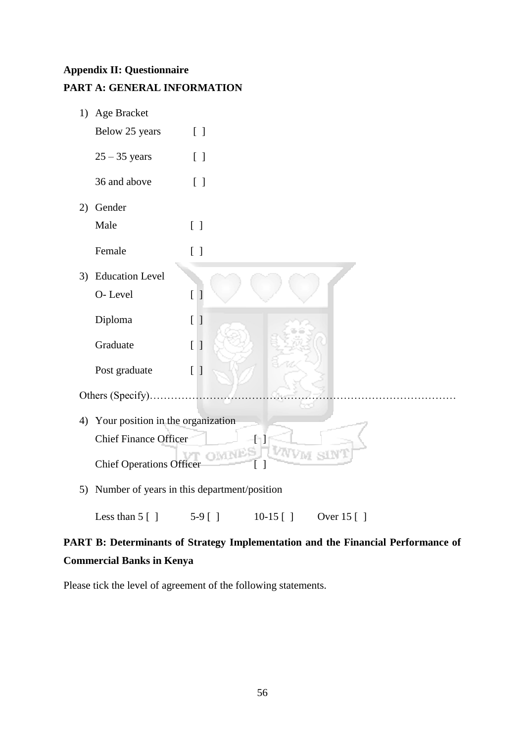## **Appendix II: Questionnaire**

**PART A: GENERAL INFORMATION** 

| 1) | Age Bracket                       |                                             |
|----|-----------------------------------|---------------------------------------------|
|    | Below 25 years                    | $\begin{bmatrix} \end{bmatrix}$             |
|    | $25 - 35$ years                   | $\begin{bmatrix} \end{bmatrix}$             |
|    | 36 and above                      | $\begin{bmatrix} \end{bmatrix}$             |
| 2) | Gender                            |                                             |
|    | Male                              | $\begin{bmatrix} \end{bmatrix}$             |
|    | Female                            | [ ]                                         |
| 3) | <b>Education Level</b>            |                                             |
|    | O-Level                           | $\overline{[}$<br>]                         |
|    | Diploma                           | $\overline{[}$<br>$\mathbf{I}$              |
|    | Graduate                          | $[ \ ]$                                     |
|    | Post graduate                     | $[ \ ]$                                     |
|    | Others (Specify).                 |                                             |
| 4) | Your position in the organization |                                             |
|    | <b>Chief Finance Officer</b>      |                                             |
|    | <b>Chief Operations Officer</b>   | $[\,\,]$                                    |
| 5) |                                   | Number of years in this department/position |

Less than 5 [ ] 5-9 [ ] 10-15 [ ] Over 15 [ ]

## **PART B: Determinants of Strategy Implementation and the Financial Performance of Commercial Banks in Kenya**

Please tick the level of agreement of the following statements.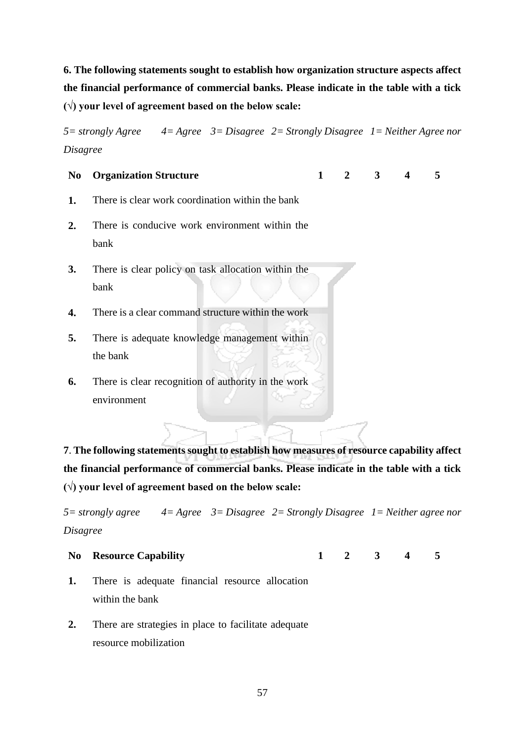**6. The following statements sought to establish how organization structure aspects affect the financial performance of commercial banks. Please indicate in the table with a tick (√) your level of agreement based on the below scale:**

*5= strongly Agree 4= Agree 3= Disagree 2= Strongly Disagree 1= Neither Agree nor Disagree* 

## **No Organization Structure 1 2 3 4 5**

- **1.** There is clear work coordination within the bank
- **2.** There is conducive work environment within the bank
- **3.** There is clear policy on task allocation within the bank
- **4.** There is a clear command structure within the work
- **5.** There is adequate knowledge management within the bank
- **6.** There is clear recognition of authority in the work environment

**7**. **The following statements sought to establish how measures of resource capability affect the financial performance of commercial banks. Please indicate in the table with a tick (√) your level of agreement based on the below scale:**

*5= strongly agree 4= Agree 3= Disagree 2= Strongly Disagree 1= Neither agree nor Disagree* 

## **No Resource Capability 1 2 3 4 5**

- **1.** There is adequate financial resource allocation within the bank
- **2.** There are strategies in place to facilitate adequate resource mobilization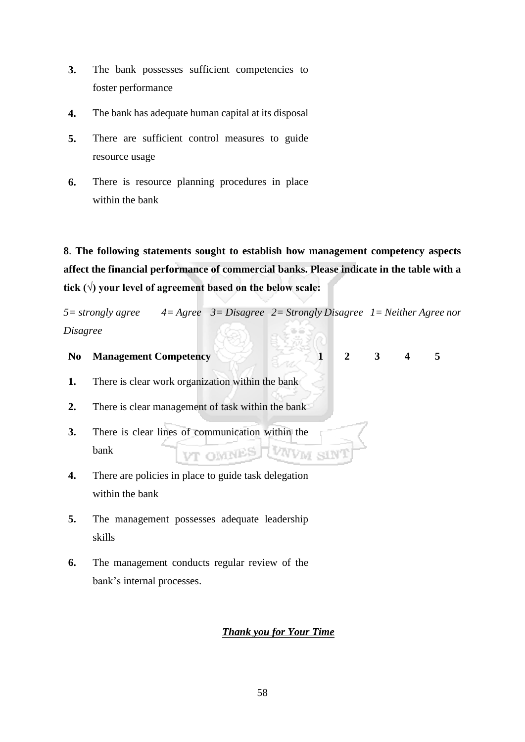- **3.** The bank possesses sufficient competencies to foster performance
- **4.** The bank has adequate human capital at its disposal
- **5.** There are sufficient control measures to guide resource usage
- **6.** There is resource planning procedures in place within the bank

**8**. **The following statements sought to establish how management competency aspects affect the financial performance of commercial banks. Please indicate in the table with a tick (√) your level of agreement based on the below scale:**

*5= strongly agree 4= Agree 3= Disagree 2= Strongly Disagree 1= Neither Agree nor Disagree* 

# **No Management Competency 1 2 3 4 5**

- **1.** There is clear work organization within the bank
- **2.** There is clear management of task within the bank
- **3.** There is clear lines of communication within the bank VWW SIN **BANNO TVI**
- **4.** There are policies in place to guide task delegation within the bank
- **5.** The management possesses adequate leadership skills
- **6.** The management conducts regular review of the bank's internal processes.

## *Thank you for Your Time*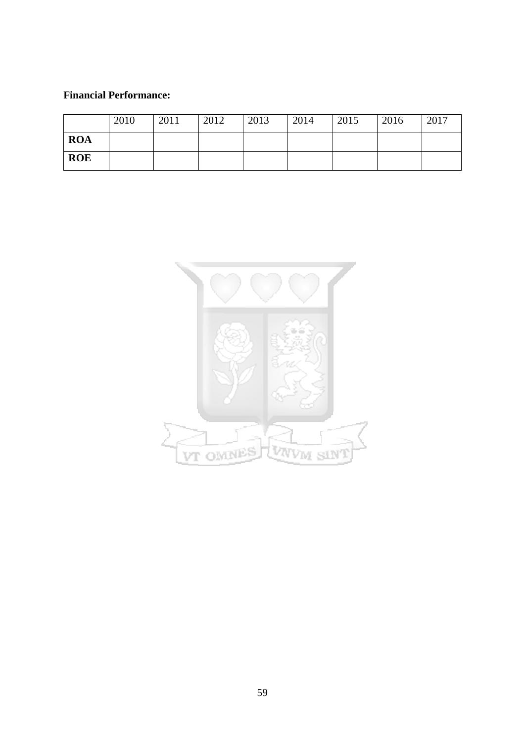## **Financial Performance:**

|            | 2010 | 2011 | 2012 | 2013 | 2014 | 2015 | 2016 | 2017 |
|------------|------|------|------|------|------|------|------|------|
| <b>ROA</b> |      |      |      |      |      |      |      |      |
| <b>ROE</b> |      |      |      |      |      |      |      |      |

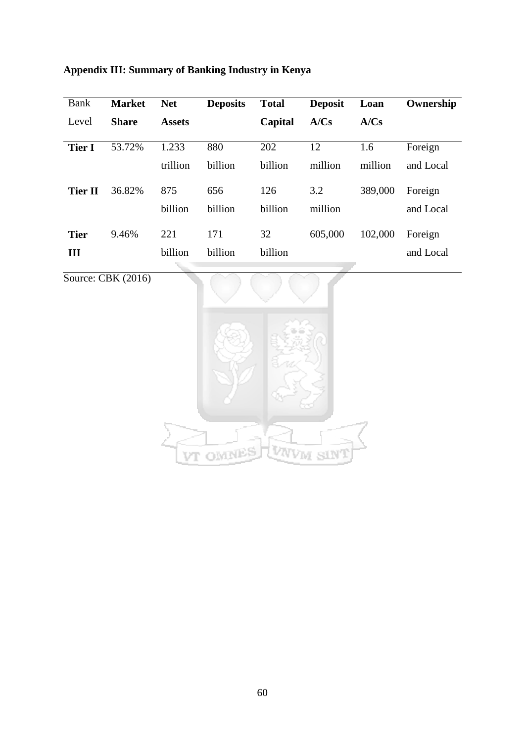## **Appendix III: Summary of Banking Industry in Kenya**

| Bank           | <b>Market</b> | <b>Net</b>    | <b>Deposits</b> | <b>Total</b> | <b>Deposit</b> | Loan    | Ownership |
|----------------|---------------|---------------|-----------------|--------------|----------------|---------|-----------|
| Level          | <b>Share</b>  | <b>Assets</b> |                 | Capital      | A/Cs           | A/Cs    |           |
| <b>Tier I</b>  | 53.72%        | 1.233         | 880             | 202          | 12             | 1.6     | Foreign   |
|                |               | trillion      | billion         | billion      | million        | million | and Local |
| <b>Tier II</b> | 36.82%        | 875           | 656             | 126          | 3.2            | 389,000 | Foreign   |
|                |               | billion       | billion         | billion      | million        |         | and Local |
| <b>Tier</b>    | 9.46%         | 221           | 171             | 32           | 605,000        | 102,000 | Foreign   |
| Ш              |               | billion       | billion         | billion      |                |         | and Local |

Source: CBK (2016)

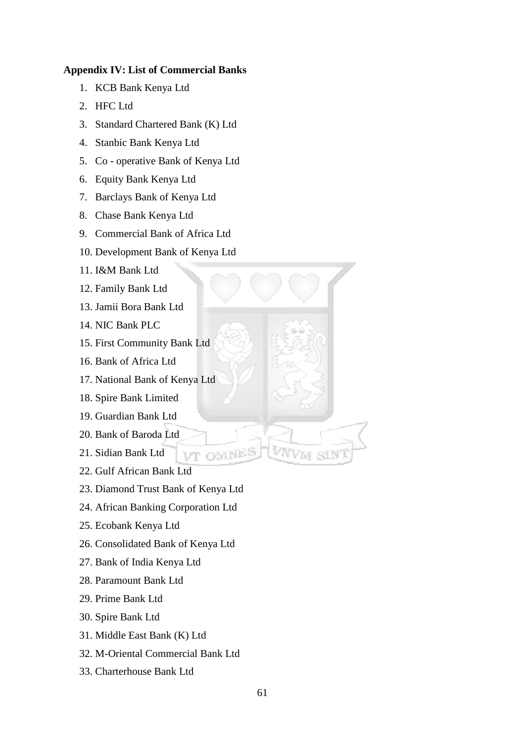## **Appendix IV: List of Commercial Banks**

- 1. KCB Bank Kenya Ltd
- 2. HFC Ltd
- 3. Standard Chartered Bank (K) Ltd
- 4. Stanbic Bank Kenya Ltd
- 5. Co operative Bank of Kenya Ltd
- 6. Equity Bank Kenya Ltd
- 7. Barclays Bank of Kenya Ltd
- 8. Chase Bank Kenya Ltd
- 9. Commercial Bank of Africa Ltd
- 10. Development Bank of Kenya Ltd
- 11. I&M Bank Ltd
- 12. Family Bank Ltd
- 13. Jamii Bora Bank Ltd
- 14. NIC Bank PLC
- 15. First Community Bank Ltd
- 16. Bank of Africa Ltd
- 17. National Bank of Kenya Ltd
- 18. Spire Bank Limited
- 19. Guardian Bank Ltd
- 20. Bank of Baroda Ltd
- 21. Sidian Bank Ltd
- 22. Gulf African Bank Ltd
- 23. Diamond Trust Bank of Kenya Ltd

VT OMNE

- 24. African Banking Corporation Ltd
- 25. Ecobank Kenya Ltd
- 26. Consolidated Bank of Kenya Ltd
- 27. Bank of India Kenya Ltd
- 28. Paramount Bank Ltd
- 29. Prime Bank Ltd
- 30. Spire Bank Ltd
- 31. Middle East Bank (K) Ltd
- 32. M-Oriental Commercial Bank Ltd
- 33. Charterhouse Bank Ltd